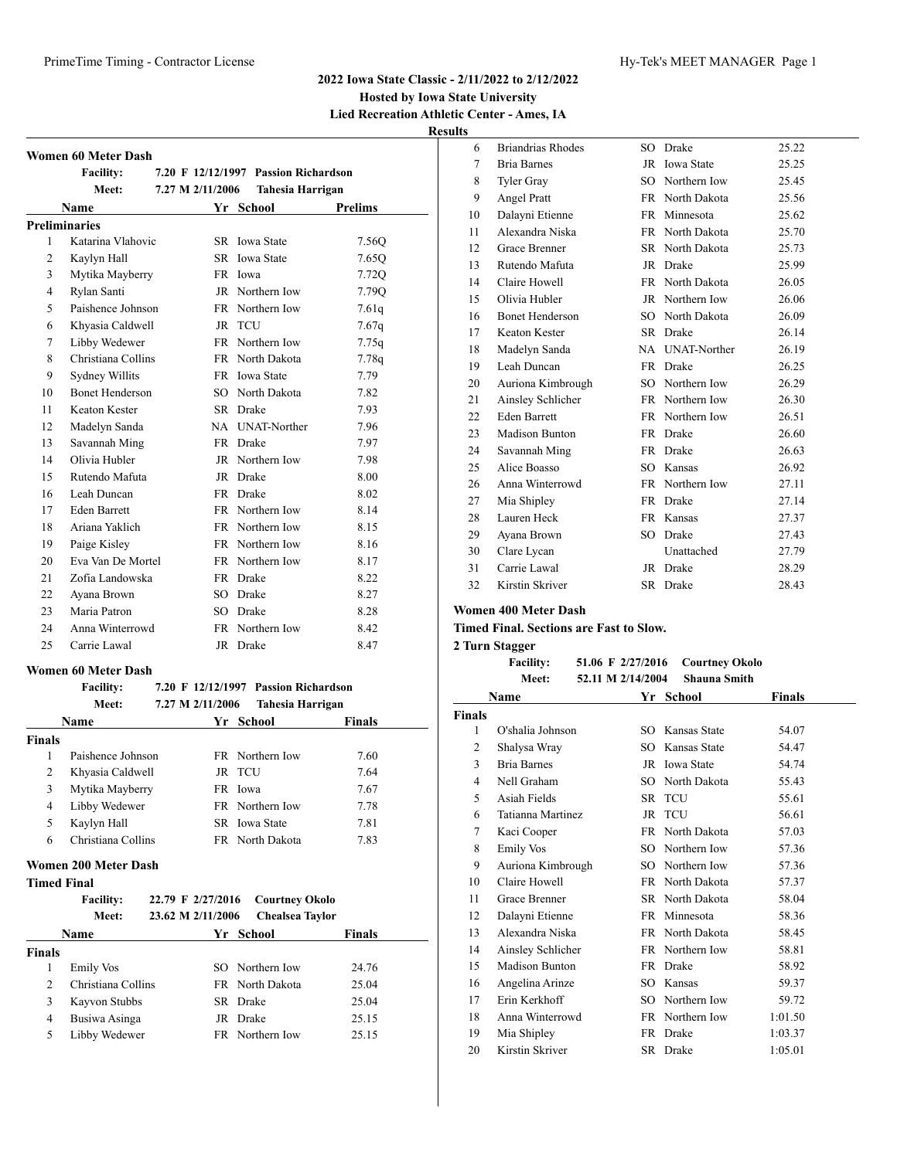# **Hosted by Iowa State University Lied Recreation Athletic Center - Ames, IA**

**Results**

|                | <b>Women 60 Meter Dash</b> |                  |                                      |         |
|----------------|----------------------------|------------------|--------------------------------------|---------|
|                | <b>Facility:</b>           |                  | 7.20 F 12/12/1997 Passion Richardson |         |
|                | Meet:                      | 7.27 M 2/11/2006 | Tahesia Harrigan                     |         |
|                | Name                       |                  | Yr School                            | Prelims |
|                | <b>Preliminaries</b>       |                  |                                      |         |
| $\mathbf{1}$   | Katarina Vlahovic          |                  | SR Iowa State                        | 7.560   |
| 2              | Kaylyn Hall                |                  | SR Iowa State                        | 7.65Q   |
| 3              | Mytika Mayberry            |                  | FR Iowa                              | 7.72Q   |
| $\overline{4}$ | Rylan Santi                |                  | JR Northern Iow                      | 7.79Q   |
| 5              | Paishence Johnson          |                  | FR Northern Iow                      | 7.61q   |
| 6              | Khyasia Caldwell           | $_{\rm JR}$      | <b>TCU</b>                           | 7.67q   |
| 7              | Libby Wedewer              |                  | FR Northern Iow                      | 7.75q   |
| 8              | Christiana Collins         |                  | FR North Dakota                      | 7.78q   |
| 9              | Sydney Willits             |                  | FR Iowa State                        | 7.79    |
| 10             | <b>Bonet Henderson</b>     |                  | SO North Dakota                      | 7.82    |
| 11             | Keaton Kester              |                  | SR Drake                             | 7.93    |
| 12             | Madelyn Sanda              |                  | NA UNAT-Norther                      | 7.96    |
| 13             | Savannah Ming              |                  | FR Drake                             | 7.97    |
| 14             | Olivia Hubler              |                  | JR Northern Iow                      | 7.98    |
| 15             | Rutendo Mafuta             |                  | JR Drake                             | 8.00    |
| 16             | Leah Duncan                |                  | FR Drake                             | 8.02    |
| 17             | <b>Eden Barrett</b>        |                  | FR Northern Iow                      | 8.14    |
| 18             | Ariana Yaklich             |                  | FR Northern Iow                      | 8.15    |
| 19             | Paige Kisley               |                  | FR Northern Iow                      | 8.16    |
| 20             | Eva Van De Mortel          |                  | FR Northern Iow                      | 8.17    |
| 21             | Zofia Landowska            |                  | FR Drake                             | 8.22    |
| 22             | Ayana Brown                |                  | SO Drake                             | 8.27    |
| 23             | Maria Patron               |                  | SO Drake                             | 8.28    |
| 24             | Anna Winterrowd            |                  | FR Northern Iow                      | 8.42    |
| 25             | Carrie Lawal               |                  | JR Drake                             | 8.47    |

#### **Women 60 Meter Dash**

#### **Facility: 7.20 F 12/12/1997 Passion Richardson Meet: 7.27 M 2/11/2006 Tahesia Harrigan**

| Name          |                    | Yr School              | <b>Finals</b> |  |
|---------------|--------------------|------------------------|---------------|--|
| <b>Finals</b> |                    |                        |               |  |
|               | Paishence Johnson  | FR Northern Iow        | 7.60          |  |
| 2             | Khyasia Caldwell   | JR TCU                 | 7.64          |  |
| 3             | Mytika Mayberry    | FR Iowa                | 7.67          |  |
| 4             | Libby Wedewer      | FR Northern Iow        | 7.78          |  |
| 5             | Kaylyn Hall        | SR Iowa State          | 7.81          |  |
| 6             | Christiana Collins | <b>FR</b> North Dakota | 7.83          |  |

#### **Women 200 Meter Dash**

| Timed Final |
|-------------|
|-------------|

|                | <b>Facility:</b><br>Meet: | 22.79 F 2/27/2016<br>23.62 M 2/11/2006 | <b>Courtney Okolo</b><br><b>Chealsea Taylor</b> |               |
|----------------|---------------------------|----------------------------------------|-------------------------------------------------|---------------|
|                | <b>Name</b>               |                                        | Yr School                                       | <b>Finals</b> |
| <b>Finals</b>  |                           |                                        |                                                 |               |
|                | Emily Vos                 |                                        | SO Northern Iow                                 | 24.76         |
| $\mathfrak{D}$ | Christiana Collins        |                                        | FR North Dakota                                 | 25.04         |
| 3              | Kayvon Stubbs             |                                        | SR Drake                                        | 25.04         |
| 4              | Busiwa Asinga             |                                        | JR Drake                                        | 25.15         |
| 5              | Libby Wedewer             |                                        | FR Northern Iow                                 | 25.15         |

| 6  | <b>Briandrias Rhodes</b> | SO.       | Drake             | 25.22 |
|----|--------------------------|-----------|-------------------|-------|
| 7  | <b>Bria Barnes</b>       | JR        | <b>Iowa State</b> | 25.25 |
| 8  | <b>Tyler Gray</b>        | SO.       | Northern Iow      | 25.45 |
| 9  | Angel Pratt              | <b>FR</b> | North Dakota      | 25.56 |
| 10 | Dalayni Etienne          | <b>FR</b> | Minnesota         | 25.62 |
| 11 | Alexandra Niska          |           | FR North Dakota   | 25.70 |
| 12 | <b>Grace Brenner</b>     | SR        | North Dakota      | 25.73 |
| 13 | Rutendo Mafuta           | JR        | Drake             | 25.99 |
| 14 | Claire Howell            |           | FR North Dakota   | 26.05 |
| 15 | Olivia Hubler            | JR        | Northern Iow      | 26.06 |
| 16 | <b>Bonet Henderson</b>   | SO.       | North Dakota      | 26.09 |
| 17 | Keaton Kester            |           | SR Drake          | 26.14 |
| 18 | Madelyn Sanda            |           | NA UNAT-Norther   | 26.19 |
| 19 | Leah Duncan              | <b>FR</b> | Drake             | 26.25 |
| 20 | Auriona Kimbrough        | SO.       | Northern Iow      | 26.29 |
| 21 | Ainsley Schlicher        |           | FR Northern Iow   | 26.30 |
| 22 | <b>Eden Barrett</b>      | FR        | Northern Iow      | 26.51 |
| 23 | <b>Madison Bunton</b>    | FR        | Drake             | 26.60 |
| 24 | Savannah Ming            | FR        | Drake             | 26.63 |
| 25 | Alice Boasso             | SO.       | Kansas            | 26.92 |
| 26 | Anna Winterrowd          |           | FR Northern Iow   | 27.11 |
| 27 | Mia Shipley              | FR        | Drake             | 27.14 |
| 28 | Lauren Heck              | <b>FR</b> | Kansas            | 27.37 |
| 29 | Ayana Brown              | SO.       | Drake             | 27.43 |
| 30 | Clare Lycan              |           | Unattached        | 27.79 |
| 31 | Carrie Lawal             | JR        | Drake             | 28.29 |
| 32 | Kirstin Skriver          | SR        | Drake             | 28.43 |
|    |                          |           |                   |       |

#### **Women 400 Meter Dash**

**Timed Final. Sections are Fast to Slow.**

#### **2 Turn Stagger**

| <b>Facility:</b> | 51.06 F 2/27/2016 Courtney Okolo             |             |
|------------------|----------------------------------------------|-------------|
| Meet:            | 52.11 M 2/14/2004 Shauna Smith               |             |
| . <del>.</del>   | $V_{\text{eff}}$ $C_{\text{eff}}$ $\sim$ $1$ | 172 an 1810 |

| Name   |                       | Yr        | <b>School</b>   | Finals  |  |
|--------|-----------------------|-----------|-----------------|---------|--|
| Finals |                       |           |                 |         |  |
| 1      | O'shalia Johnson      |           | SO Kansas State | 54.07   |  |
| 2      | Shalysa Wray          | SO.       | Kansas State    | 54.47   |  |
| 3      | <b>Bria Barnes</b>    |           | JR Iowa State   | 54.74   |  |
| 4      | Nell Graham           | SO.       | North Dakota    | 55.43   |  |
| 5      | Asiah Fields          |           | SR TCU          | 55.61   |  |
| 6      | Tatianna Martinez     | JR        | TCU             | 56.61   |  |
| 7      | Kaci Cooper           | FR        | North Dakota    | 57.03   |  |
| 8      | Emily Vos             |           | SO Northern Iow | 57.36   |  |
| 9      | Auriona Kimbrough     |           | SO Northern Iow | 57.36   |  |
| 10     | Claire Howell         |           | FR North Dakota | 57.37   |  |
| 11     | <b>Grace Brenner</b>  |           | SR North Dakota | 58.04   |  |
| 12     | Dalayni Etienne       |           | FR Minnesota    | 58.36   |  |
| 13     | Alexandra Niska       |           | FR North Dakota | 58.45   |  |
| 14     | Ainsley Schlicher     |           | FR Northern Iow | 58.81   |  |
| 15     | <b>Madison Bunton</b> | <b>FR</b> | Drake           | 58.92   |  |
| 16     | Angelina Arinze       |           | SO Kansas       | 59.37   |  |
| 17     | Erin Kerkhoff         |           | SO Northern Iow | 59.72   |  |
| 18     | Anna Winterrowd       | FR        | Northern Iow    | 1:01.50 |  |
| 19     | Mia Shipley           |           | FR Drake        | 1:03.37 |  |
| 20     | Kirstin Skriver       | SR        | Drake           | 1:05.01 |  |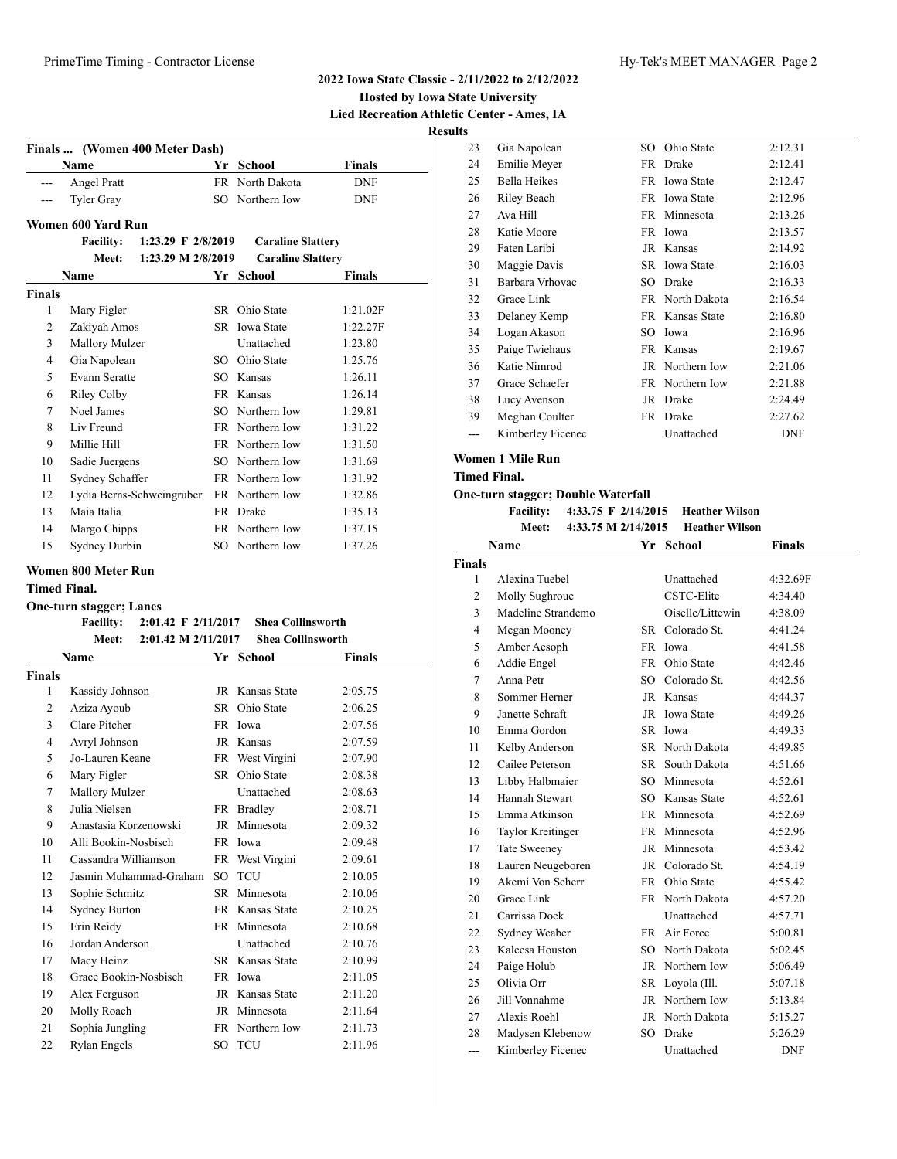| __________________________________                |
|---------------------------------------------------|
| <b>Hosted by Iowa State University</b>            |
| <b>Lied Recreation Athletic Center - Ames, IA</b> |
| <b>Results</b>                                    |

| Finals  (Women 400 Meter Dash) |                            |                           |           |                          |               |
|--------------------------------|----------------------------|---------------------------|-----------|--------------------------|---------------|
|                                | Name                       |                           | Yr        | <b>School</b>            | <b>Finals</b> |
|                                | Angel Pratt                |                           | <b>FR</b> | North Dakota             | <b>DNF</b>    |
|                                | <b>Tyler Gray</b>          |                           | SO.       | Northern Iow             | <b>DNF</b>    |
|                                | Women 600 Yard Run         |                           |           |                          |               |
|                                | <b>Facility:</b>           | 1:23.29 F 2/8/2019        |           | <b>Caraline Slattery</b> |               |
|                                | Meet:                      | 1:23.29 M 2/8/2019        |           | <b>Caraline Slattery</b> |               |
|                                | Name                       |                           |           | Yr School                | Finals        |
| Finals                         |                            |                           |           |                          |               |
| $\mathbf{1}$                   | Mary Figler                |                           | SR        | Ohio State               | 1:21.02F      |
| $\overline{2}$                 | Zakiyah Amos               |                           | SR        | <b>Iowa State</b>        | 1:22.27F      |
| 3                              | <b>Mallory Mulzer</b>      |                           |           | Unattached               | 1:23.80       |
| $\overline{4}$                 | Gia Napolean               |                           | SO.       | Ohio State               | 1:25.76       |
| 5                              | <b>Evann Seratte</b>       |                           | SO.       | Kansas                   | 1:26.11       |
| 6                              | Riley Colby                |                           | FR.       | Kansas                   | 1:26.14       |
| 7                              | Noel James                 |                           | SO.       | Northern Iow             | 1:29.81       |
| 8                              | Liv Freund                 |                           |           | FR Northern Iow          | 1:31.22       |
| 9                              | Millie Hill                |                           |           | FR Northern Iow          | 1:31.50       |
| 10                             | Sadie Juergens             |                           | SO.       | Northern Iow             | 1:31.69       |
| 11                             | Sydney Schaffer            |                           | FR        | Northern Iow             | 1:31.92       |
| 12                             |                            | Lydia Berns-Schweingruber | <b>FR</b> | Northern Iow             | 1:32.86       |
| 13                             | Maia Italia                |                           | FR        | Drake                    | 1:35.13       |
| 14                             | Margo Chipps               |                           |           | FR Northern Iow          | 1:37.15       |
| 15                             | Sydney Durbin              |                           |           | SO Northern Iow          | 1:37.26       |
|                                | <b>Women 800 Meter Run</b> |                           |           |                          |               |
|                                |                            |                           |           |                          |               |

#### **Timed Final.**

#### **One-turn stagger; Lanes**

|               | 2:01.42 F 2/11/2017<br><b>Facility:</b> |      | <b>Shea Collinsworth</b> |         |
|---------------|-----------------------------------------|------|--------------------------|---------|
|               | Meet:<br>2:01.42 M 2/11/2017            |      | <b>Shea Collinsworth</b> |         |
|               | Name                                    |      | Yr School                | Finals  |
| <b>Finals</b> |                                         |      |                          |         |
| 1             | Kassidy Johnson                         | JR   | Kansas State             | 2:05.75 |
| 2             | Aziza Ayoub                             | SR.  | Ohio State               | 2:06.25 |
| 3             | Clare Pitcher                           | FR.  | Iowa                     | 2:07.56 |
| 4             | Avryl Johnson                           |      | JR Kansas                | 2:07.59 |
| 5             | Jo-Lauren Keane                         |      | FR West Virgini          | 2:07.90 |
| 6             | Mary Figler                             | SR.  | Ohio State               | 2:08.38 |
| 7             | Mallory Mulzer                          |      | Unattached               | 2:08.63 |
| 8             | Julia Nielsen                           |      | FR Bradley               | 2:08.71 |
| 9             | Anastasia Korzenowski                   | JR   | Minnesota                | 2:09.32 |
| 10            | Alli Bookin-Nosbisch                    |      | FR Iowa                  | 2:09.48 |
| 11            | Cassandra Williamson                    | FR   | West Virgini             | 2:09.61 |
| 12            | Jasmin Muhammad-Graham                  | SO.  | <b>TCU</b>               | 2:10.05 |
| 13            | Sophie Schmitz                          | SR.  | Minnesota                | 2:10.06 |
| 14            | <b>Sydney Burton</b>                    | FR - | Kansas State             | 2:10.25 |
| 15            | Erin Reidy                              | FR - | Minnesota                | 2:10.68 |
| 16            | Jordan Anderson                         |      | Unattached               | 2:10.76 |
| 17            | Macy Heinz                              |      | <b>SR</b> Kansas State   | 2:10.99 |
| 18            | Grace Bookin-Nosbisch                   | FR.  | Iowa                     | 2:11.05 |
| 19            | Alex Ferguson                           |      | JR Kansas State          | 2:11.20 |
| 20            | Molly Roach                             | JR   | Minnesota                | 2:11.64 |
| 21            | Sophia Jungling                         | FR.  | Northern Iow             | 2:11.73 |
| 22            | Rylan Engels                            | SO   | <b>TCU</b>               | 2:11.96 |

| 23 | Gia Napolean        | SO. | Ohio State        | 2:12.31    |
|----|---------------------|-----|-------------------|------------|
| 24 | Emilie Meyer        | FR  | Drake             | 2:12.41    |
| 25 | <b>Bella Heikes</b> | FR  | <b>Iowa State</b> | 2:12.47    |
| 26 | Riley Beach         | FR  | <b>Iowa State</b> | 2:12.96    |
| 27 | Ava Hill            | FR  | Minnesota         | 2:13.26    |
| 28 | Katie Moore         | FR  | Iowa              | 2:13.57    |
| 29 | Faten Laribi        | JR  | Kansas            | 2:14.92    |
| 30 | Maggie Davis        | SR  | <b>Iowa State</b> | 2:16.03    |
| 31 | Barbara Vrhovac     | SO  | Drake             | 2:16.33    |
| 32 | Grace Link          | FR  | North Dakota      | 2:16.54    |
| 33 | Delaney Kemp        | FR  | Kansas State      | 2:16.80    |
| 34 | Logan Akason        | SO. | Iowa              | 2:16.96    |
| 35 | Paige Twiehaus      | FR  | Kansas            | 2:19.67    |
| 36 | Katie Nimrod        | JR  | Northern Iow      | 2:21.06    |
| 37 | Grace Schaefer      | FR  | Northern Iow      | 2:21.88    |
| 38 | Lucy Avenson        | JR  | Drake             | 2:24.49    |
| 39 | Meghan Coulter      | FR  | Drake             | 2:27.62    |
|    | Kimberley Ficenec   |     | Unattached        | <b>DNF</b> |

# **Women 1 Mile Run**

# **Timed Final.**

## **One-turn stagger; Double Waterfall**

**Facility: 4:33.75 F 2/14/2015 Heather Wilson Meet: 4:33.75 M 2/14/2015 Heather Wilson**

|               | Name                |           | Yr School        | <b>Finals</b> |
|---------------|---------------------|-----------|------------------|---------------|
| <b>Finals</b> |                     |           |                  |               |
| 1             | Alexina Tuebel      |           | Unattached       | 4:32.69F      |
| 2             | Molly Sughroue      |           | CSTC-Elite       | 4:34.40       |
| 3             | Madeline Strandemo  |           | Oiselle/Littewin | 4:38.09       |
| 4             | Megan Mooney        |           | SR Colorado St.  | 4:41.24       |
| 5             | Amber Aesoph        | <b>FR</b> | Iowa             | 4:41.58       |
| 6             | Addie Engel         |           | FR Ohio State    | 4:42.46       |
| 7             | Anna Petr           |           | SO Colorado St.  | 4:42.56       |
| 8             | Sommer Herner       |           | JR Kansas        | 4:44.37       |
| 9             | Janette Schraft     |           | JR Iowa State    | 4:49.26       |
| 10            | Emma Gordon         |           | SR Iowa          | 4:49.33       |
| 11            | Kelby Anderson      |           | SR North Dakota  | 4:49.85       |
| 12            | Cailee Peterson     |           | SR South Dakota  | 4:51.66       |
| 13            | Libby Halbmaier     |           | SO Minnesota     | 4:52.61       |
| 14            | Hannah Stewart      |           | SO Kansas State  | 4:52.61       |
| 15            | Emma Atkinson       |           | FR Minnesota     | 4:52.69       |
| 16            | Taylor Kreitinger   |           | FR Minnesota     | 4:52.96       |
| 17            | <b>Tate Sweeney</b> |           | JR Minnesota     | 4:53.42       |
| 18            | Lauren Neugeboren   |           | JR Colorado St.  | 4:54.19       |
| 19            | Akemi Von Scherr    |           | FR Ohio State    | 4:55.42       |
| 20            | Grace Link          |           | FR North Dakota  | 4:57.20       |
| 21            | Carrissa Dock       |           | Unattached       | 4:57.71       |
| 22            | Sydney Weaber       |           | FR Air Force     | 5:00.81       |
| 23            | Kaleesa Houston     |           | SO North Dakota  | 5:02.45       |
| 24            | Paige Holub         |           | JR Northern Iow  | 5:06.49       |
| 25            | Olivia Orr          | SR        | Loyola (Ill.     | 5:07.18       |
| 26            | Jill Vonnahme       |           | JR Northern Iow  | 5:13.84       |
| 27            | Alexis Roehl        |           | JR North Dakota  | 5:15.27       |
| 28            | Madysen Klebenow    | SO.       | Drake            | 5:26.29       |
| ---           | Kimberley Ficenec   |           | Unattached       | <b>DNF</b>    |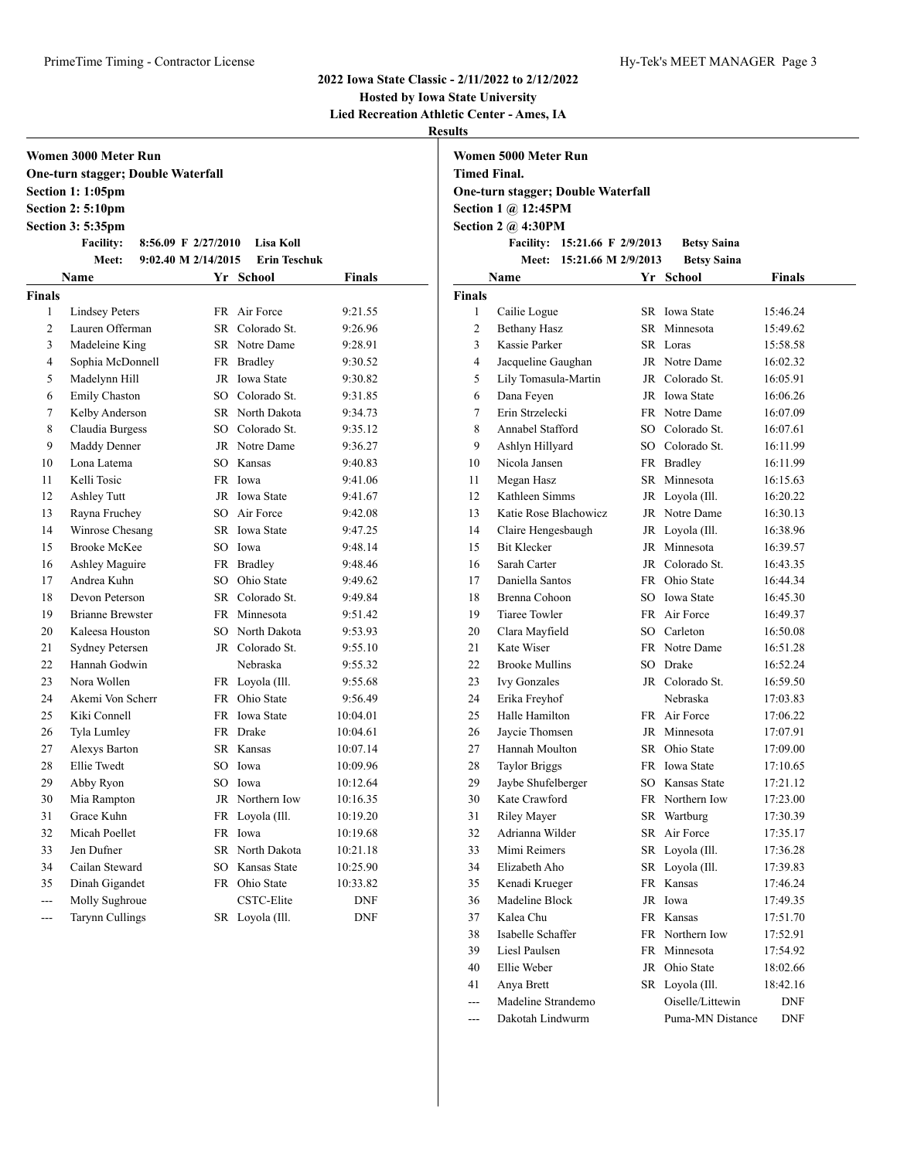# **Hosted by Iowa State University**

**Lied Recreation Athletic Center - Ames, IA**

**Results**

| Women 3000 Meter Run |                                           |     |                     |            |  |  |  |  |  |
|----------------------|-------------------------------------------|-----|---------------------|------------|--|--|--|--|--|
|                      | <b>One-turn stagger; Double Waterfall</b> |     |                     |            |  |  |  |  |  |
|                      | <b>Section 1: 1:05pm</b>                  |     |                     |            |  |  |  |  |  |
|                      | Section 2: 5:10pm                         |     |                     |            |  |  |  |  |  |
|                      | <b>Section 3: 5:35pm</b>                  |     |                     |            |  |  |  |  |  |
|                      | <b>Facility:</b><br>8:56.09 F $2/27/2010$ |     | <b>Lisa Koll</b>    |            |  |  |  |  |  |
|                      | 9:02.40 M 2/14/2015<br>Meet:              |     | <b>Erin Teschuk</b> |            |  |  |  |  |  |
|                      | Name                                      |     | Yr School           | Finals     |  |  |  |  |  |
| <b>Finals</b>        |                                           |     |                     |            |  |  |  |  |  |
| 1                    | <b>Lindsey Peters</b>                     |     | FR Air Force        | 9:21.55    |  |  |  |  |  |
| 2                    | Lauren Offerman                           |     | SR Colorado St.     | 9:26.96    |  |  |  |  |  |
| 3                    | Madeleine King                            |     | SR Notre Dame       | 9:28.91    |  |  |  |  |  |
| 4                    | Sophia McDonnell                          |     | FR Bradley          | 9:30.52    |  |  |  |  |  |
| 5                    | Madelynn Hill                             |     | JR Iowa State       | 9:30.82    |  |  |  |  |  |
| 6                    | Emily Chaston                             |     | SO Colorado St.     | 9:31.85    |  |  |  |  |  |
| 7                    | Kelby Anderson                            |     | SR North Dakota     | 9:34.73    |  |  |  |  |  |
| 8                    | Claudia Burgess                           |     | SO Colorado St.     | 9:35.12    |  |  |  |  |  |
| 9                    | Maddy Denner                              |     | JR Notre Dame       | 9:36.27    |  |  |  |  |  |
| 10                   | Lona Latema                               |     | SO Kansas           | 9:40.83    |  |  |  |  |  |
| 11                   | Kelli Tosic                               |     | FR Iowa             | 9:41.06    |  |  |  |  |  |
| 12                   | Ashley Tutt                               |     | JR Iowa State       | 9:41.67    |  |  |  |  |  |
| 13                   | Rayna Fruchey                             |     | SO Air Force        | 9:42.08    |  |  |  |  |  |
| 14                   | Winrose Chesang                           |     | SR Iowa State       | 9:47.25    |  |  |  |  |  |
| 15                   | <b>Brooke McKee</b>                       |     | SO Iowa             | 9:48.14    |  |  |  |  |  |
| 16                   | <b>Ashley Maguire</b>                     |     | FR Bradley          | 9:48.46    |  |  |  |  |  |
| 17                   | Andrea Kuhn                               |     | SO Ohio State       | 9:49.62    |  |  |  |  |  |
| 18                   | Devon Peterson                            |     | SR Colorado St.     | 9:49.84    |  |  |  |  |  |
| 19                   | <b>Brianne Brewster</b>                   |     | FR Minnesota        | 9:51.42    |  |  |  |  |  |
| 20                   | Kaleesa Houston                           |     | SO North Dakota     | 9:53.93    |  |  |  |  |  |
| 21                   | <b>Sydney Petersen</b>                    |     | JR Colorado St.     | 9:55.10    |  |  |  |  |  |
| 22                   | Hannah Godwin                             |     | Nebraska            | 9:55.32    |  |  |  |  |  |
| 23                   | Nora Wollen                               |     | FR Loyola (Ill.     | 9:55.68    |  |  |  |  |  |
| 24                   | Akemi Von Scherr                          |     | FR Ohio State       | 9:56.49    |  |  |  |  |  |
| 25                   | Kiki Connell                              |     | FR Iowa State       | 10:04.01   |  |  |  |  |  |
| 26                   | Tyla Lumley                               |     | FR Drake            | 10:04.61   |  |  |  |  |  |
| 27                   | Alexys Barton                             |     | SR Kansas           | 10:07.14   |  |  |  |  |  |
| 28                   | Ellie Twedt                               | SO  | Iowa                | 10:09.96   |  |  |  |  |  |
| 29                   | Abby Ryon                                 | SO. | Iowa                | 10:12.64   |  |  |  |  |  |
| 30                   | Mia Rampton                               | JR  | Northern Iow        | 10:16.35   |  |  |  |  |  |
| 31                   | Grace Kuhn                                | FR  | Loyola (Ill.        | 10:19.20   |  |  |  |  |  |
| 32                   | Micah Poellet                             | FR  | Iowa                | 10:19.68   |  |  |  |  |  |
| 33                   | Jen Dufner                                | SR  | North Dakota        | 10:21.18   |  |  |  |  |  |
| 34                   | Cailan Steward                            | SO  | Kansas State        | 10:25.90   |  |  |  |  |  |
| 35                   | Dinah Gigandet                            | FR  | Ohio State          | 10:33.82   |  |  |  |  |  |
| ---                  | Molly Sughroue                            |     | CSTC-Elite          | <b>DNF</b> |  |  |  |  |  |
| ---                  | Tarynn Cullings                           | SR  | Loyola (Ill.        | DNF        |  |  |  |  |  |

| Women 5000 Meter Run                      |
|-------------------------------------------|
| Timed Final.                              |
| <b>One-turn stagger; Double Waterfall</b> |
| Section $1 \omega 12:45PM$                |
| Section 2 $\omega$ 4:30PM                 |
| Facility: 15:21.66 F 2/9/2013             |

| Facility: 15:21.66 F 2/9/2013 | <b>Betsy Saina</b> |
|-------------------------------|--------------------|
| Meet: 15:21.66 M 2/9/2013     | <b>Betsy Saina</b> |

|                | Name                  |           | Yr School        | <b>Finals</b> |
|----------------|-----------------------|-----------|------------------|---------------|
| <b>Finals</b>  |                       |           |                  |               |
| 1              | Cailie Logue          |           | SR Iowa State    | 15:46.24      |
| $\overline{2}$ | <b>Bethany Hasz</b>   | SR        | Minnesota        | 15:49.62      |
| 3              | Kassie Parker         | SR.       | Loras            | 15:58.58      |
| $\overline{4}$ | Jacqueline Gaughan    |           | JR Notre Dame    | 16:02.32      |
| 5              | Lily Tomasula-Martin  |           | JR Colorado St.  | 16:05.91      |
| 6              | Dana Feyen            |           | JR Iowa State    | 16:06.26      |
| $\overline{7}$ | Erin Strzelecki       |           | FR Notre Dame    | 16:07.09      |
| 8              | Annabel Stafford      | SO        | Colorado St.     | 16:07.61      |
| 9              | Ashlyn Hillyard       |           | SO Colorado St.  | 16:11.99      |
| 10             | Nicola Jansen         |           | FR Bradley       | 16:11.99      |
| 11             | Megan Hasz            | SR        | Minnesota        | 16:15.63      |
| 12             | Kathleen Simms        | JR        | Loyola (Ill.     | 16:20.22      |
| 13             | Katie Rose Blachowicz |           | JR Notre Dame    | 16:30.13      |
| 14             | Claire Hengesbaugh    | JR        | Loyola (Ill.     | 16:38.96      |
| 15             | <b>Bit Klecker</b>    | JR        | Minnesota        | 16:39.57      |
| 16             | Sarah Carter          |           | JR Colorado St.  | 16:43.35      |
| 17             | Daniella Santos       |           | FR Ohio State    | 16:44.34      |
| 18             | Brenna Cohoon         |           | SO Iowa State    | 16:45.30      |
| 19             | <b>Tiaree Towler</b>  |           | FR Air Force     | 16:49.37      |
| 20             | Clara Mayfield        |           | SO Carleton      | 16:50.08      |
| 21             | Kate Wiser            | <b>FR</b> | Notre Dame       | 16:51.28      |
| 22             | <b>Brooke Mullins</b> | SO.       | Drake            | 16:52.24      |
| 23             | <b>Ivy Gonzales</b>   |           | JR Colorado St.  | 16:59.50      |
| 24             | Erika Freyhof         |           | Nebraska         | 17:03.83      |
| 25             | Halle Hamilton        |           | FR Air Force     | 17:06.22      |
| 26             | Jaycie Thomsen        |           | JR Minnesota     | 17:07.91      |
| 27             | Hannah Moulton        |           | SR Ohio State    | 17:09.00      |
| 28             | <b>Taylor Briggs</b>  |           | FR Iowa State    | 17:10.65      |
| 29             | Jaybe Shufelberger    |           | SO Kansas State  | 17:21.12      |
| 30             | Kate Crawford         |           | FR Northern Iow  | 17:23.00      |
| 31             | <b>Riley Mayer</b>    | SR        | Wartburg         | 17:30.39      |
| 32             | Adrianna Wilder       | SR        | Air Force        | 17:35.17      |
| 33             | Mimi Reimers          | SR        | Loyola (Ill.     | 17:36.28      |
| 34             | Elizabeth Aho         | SR        | Loyola (Ill.     | 17:39.83      |
| 35             | Kenadi Krueger        |           | FR Kansas        | 17:46.24      |
| 36             | Madeline Block        |           | JR Iowa          | 17:49.35      |
| 37             | Kalea Chu             | <b>FR</b> | Kansas           | 17:51.70      |
| 38             | Isabelle Schaffer     |           | FR Northern Iow  | 17:52.91      |
| 39             | Liesl Paulsen         | FR        | Minnesota        | 17:54.92      |
| 40             | Ellie Weber           | JR        | Ohio State       | 18:02.66      |
| 41             | Anya Brett            | SR        | Loyola (Ill.     | 18:42.16      |
| ---            | Madeline Strandemo    |           | Oiselle/Littewin | <b>DNF</b>    |
| $\sim$         | Dakotah Lindwurm      |           | Puma-MN Distance | <b>DNF</b>    |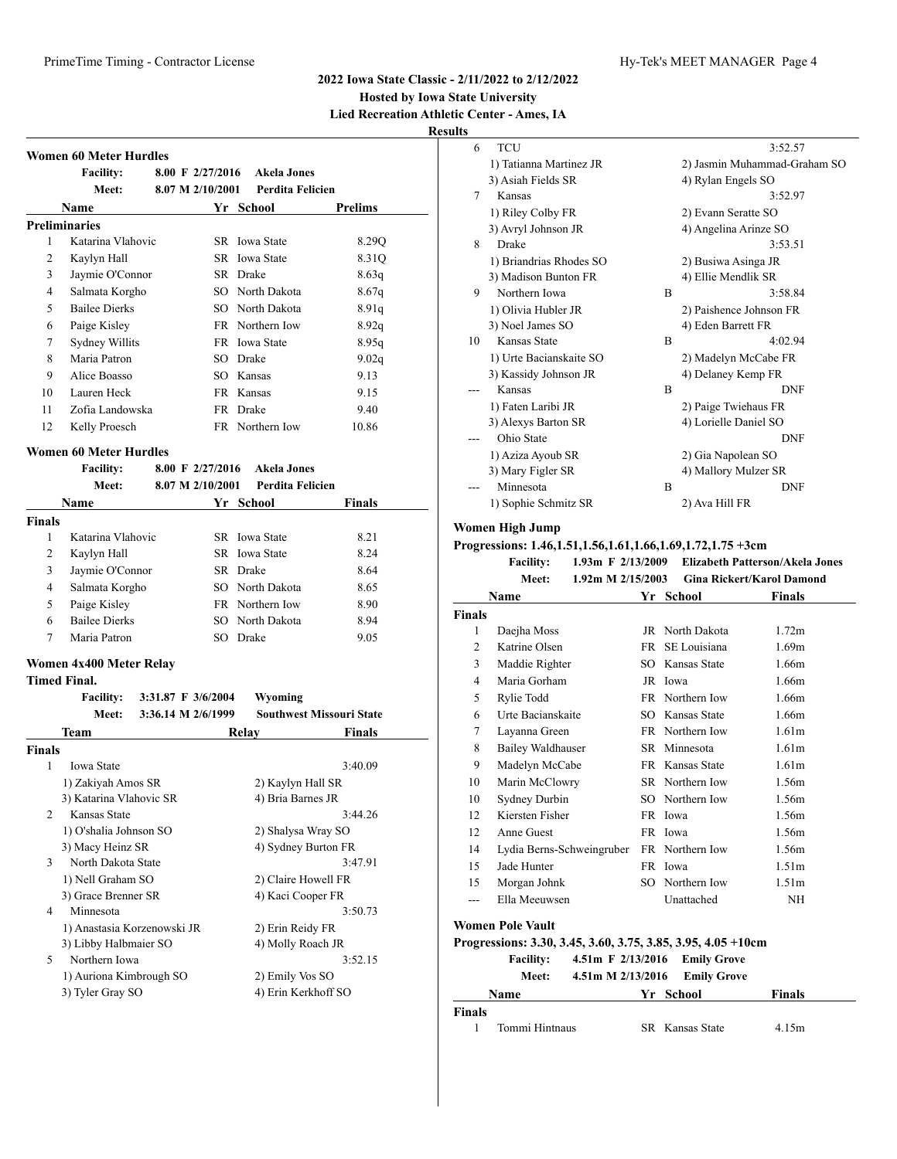#### **2022 Iowa State Classic - 2/11/2022 to 2/12/2022**

**Hosted by Iowa State University Lied Recreation Athletic Center - Ames, IA**

**Results**

|               | <b>Facility:</b>                            |                    | 8.00 F 2/27/2016 Akela Jones           |                                 |
|---------------|---------------------------------------------|--------------------|----------------------------------------|---------------------------------|
|               | <b>Meet:</b>                                | 8.07 M 2/10/2001   | <b>Perdita Felicien</b>                |                                 |
|               | Name                                        |                    | Yr School                              | <b>Prelims</b>                  |
|               | <b>Preliminaries</b>                        |                    |                                        |                                 |
| 1             | Katarina Vlahovic                           |                    | SR Iowa State                          | 8.29Q                           |
| 2             | Kaylyn Hall                                 |                    | SR Iowa State                          | 8.31Q                           |
| 3             | Jaymie O'Connor                             |                    | SR Drake                               | 8.63q                           |
| 4             | Salmata Korgho                              |                    | SO North Dakota                        | 8.67q                           |
| 5             | <b>Bailee Dierks</b>                        |                    | SO North Dakota                        | 8.91q                           |
| 6             | Paige Kisley                                |                    | FR Northern Iow                        | 8.92q                           |
| 7             | Sydney Willits                              |                    | FR Iowa State                          | 8.95q                           |
| 8             | Maria Patron                                |                    | SO Drake                               | 9.02q                           |
| 9             | Alice Boasso                                |                    | SO Kansas                              | 9.13                            |
| 10            | Lauren Heck                                 |                    | FR Kansas                              | 9.15                            |
| 11            | Zofia Landowska                             |                    | FR Drake                               | 9.40                            |
| 12            | Kelly Proesch                               |                    | FR Northern Iow                        | 10.86                           |
|               | <b>Women 60 Meter Hurdles</b>               |                    |                                        |                                 |
|               | <b>Facility:</b>                            | 8.00 F $2/27/2016$ | <b>Akela Jones</b>                     |                                 |
|               | Meet:                                       | 8.07 M 2/10/2001   | <b>Perdita Felicien</b>                |                                 |
|               | Name                                        |                    | Yr School                              | Finals                          |
| <b>Finals</b> |                                             |                    |                                        |                                 |
| 1             | Katarina Vlahovic                           |                    | SR Iowa State                          | 8.21                            |
| 2             | Kaylyn Hall                                 |                    | <b>SR</b> Iowa State                   | 8.24                            |
| 3             | Jaymie O'Connor                             |                    | SR Drake                               | 8.64                            |
| 4             | Salmata Korgho                              |                    | SO North Dakota                        | 8.65                            |
| 5             | Paige Kisley                                |                    | FR Northern Iow                        | 8.90                            |
| 6             | <b>Bailee Dierks</b>                        |                    | SO North Dakota                        | 8.94                            |
| 7             | Maria Patron                                |                    | SO Drake                               | 9.05                            |
|               | Women 4x400 Meter Relay                     |                    |                                        |                                 |
|               | <b>Timed Final.</b>                         |                    |                                        |                                 |
|               | <b>Facility:</b>                            | 3:31.87 F 3/6/2004 | Wyoming                                |                                 |
|               | Meet:                                       | 3:36.14 M 2/6/1999 |                                        | <b>Southwest Missouri State</b> |
|               | <b>Team</b>                                 |                    | Relay                                  | Finals                          |
| <b>Finals</b> |                                             |                    |                                        |                                 |
| 1             | Iowa State                                  |                    |                                        | 3:40.09                         |
|               | 1) Zakiyah Amos SR                          |                    | 2) Kaylyn Hall SR                      |                                 |
|               | 3) Katarina Vlahovic SR                     |                    | 4) Bria Barnes JR                      |                                 |
| 2             | Kansas State                                |                    |                                        | 3:44.26                         |
|               | 1) O'shalia Johnson SO                      |                    | 2) Shalysa Wray SO                     |                                 |
|               | 3) Macy Heinz SR                            |                    | 4) Sydney Burton FR                    |                                 |
| 3             | North Dakota State                          |                    |                                        | 3:47.91                         |
|               | 1) Nell Graham SO                           |                    | 2) Claire Howell FR                    |                                 |
|               | 3) Grace Brenner SR                         |                    | 4) Kaci Cooper FR                      |                                 |
|               | Minnesota                                   |                    |                                        | 3:50.73                         |
| 4             | 1) Anastasia Korzenowski JR                 |                    | 2) Erin Reidy FR                       |                                 |
|               |                                             |                    | 4) Molly Roach JR                      |                                 |
|               | 3) Libby Halbmaier SO                       |                    |                                        |                                 |
| 5             | Northern Iowa                               |                    |                                        | 3:52.15                         |
|               | 1) Auriona Kimbrough SO<br>3) Tyler Gray SO |                    | 2) Emily Vos SO<br>4) Erin Kerkhoff SO |                                 |

| 6  | TCU                     |   | 3:52.57                      |
|----|-------------------------|---|------------------------------|
|    | 1) Tatianna Martinez JR |   | 2) Jasmin Muhammad-Graham SO |
|    | 3) Asiah Fields SR      |   | 4) Rylan Engels SO           |
| 7  | Kansas                  |   | 3:52.97                      |
|    | 1) Riley Colby FR       |   | 2) Evann Seratte SO          |
|    | 3) Avryl Johnson JR     |   | 4) Angelina Arinze SO        |
| 8  | Drake                   |   | 3:53.51                      |
|    | 1) Briandrias Rhodes SO |   | 2) Busiwa Asinga JR          |
|    | 3) Madison Bunton FR    |   | 4) Ellie Mendlik SR          |
| 9  | Northern Iowa           | B | 3:58.84                      |
|    | 1) Olivia Hubler JR     |   | 2) Paishence Johnson FR      |
|    | 3) Noel James SO        |   | 4) Eden Barrett FR           |
| 10 | Kansas State            | B | 4:02.94                      |
|    | 1) Urte Bacianskaite SO |   | 2) Madelyn McCabe FR         |
|    | 3) Kassidy Johnson JR   |   | 4) Delaney Kemp FR           |
|    | Kansas                  | B | <b>DNF</b>                   |
|    | 1) Faten Laribi JR      |   | 2) Paige Twiehaus FR         |
|    | 3) Alexys Barton SR     |   | 4) Lorielle Daniel SO        |
|    | Ohio State              |   | <b>DNF</b>                   |
|    | 1) Aziza Ayoub SR       |   | 2) Gia Napolean SO           |
|    | 3) Mary Figler SR       |   | 4) Mallory Mulzer SR         |
|    | Minnesota               | B | <b>DNF</b>                   |
|    | 1) Sophie Schmitz SR    |   | 2) Ava Hill FR               |
|    |                         |   |                              |

#### **Women High Jump**

**Progressions: 1.46,1.51,1.56,1.61,1.66,1.69,1.72,1.75 +3cm Facility: 1.93m F 2/13/2009 Elizabeth Patterson/Akela Jones**

|                | 1 аспиу.<br>$1.70 \text{ m}$ $1.27 \text{ m}$ |           |                 | Enzabeth I atter son/Incia cones |
|----------------|-----------------------------------------------|-----------|-----------------|----------------------------------|
|                | 1.92m M 2/15/2003<br>Meet:                    |           |                 | <b>Gina Rickert/Karol Damond</b> |
|                | Name                                          | Yr        | School          | <b>Finals</b>                    |
| Finals         |                                               |           |                 |                                  |
| 1              | Daejha Moss                                   |           | JR North Dakota | 1.72m                            |
| $\overline{c}$ | Katrine Olsen                                 | <b>FR</b> | SE Louisiana    | 1.69m                            |
| 3              | Maddie Righter                                |           | SO Kansas State | 1.66m                            |
| 4              | Maria Gorham                                  |           | JR Iowa         | 1.66m                            |
| 5              | Rylie Todd                                    |           | FR Northern Iow | 1.66m                            |
| 6              | Urte Bacianskaite                             |           | SO Kansas State | 1.66m                            |
| 7              | Layanna Green                                 |           | FR Northern Iow | 1.61 <sub>m</sub>                |
| 8              | Bailey Waldhauser                             |           | SR Minnesota    | 1.61 <sub>m</sub>                |
| 9              | Madelyn McCabe                                |           | FR Kansas State | 1.61 <sub>m</sub>                |
| 10             | Marin McClowry                                |           | SR Northern Iow | 1.56m                            |
| 10             | Sydney Durbin                                 |           | SO Northern Iow | 1.56m                            |
| 12             | Kiersten Fisher                               |           | FR Iowa         | 1.56m                            |
| 12             | Anne Guest                                    |           | FR Iowa         | 1.56m                            |
| 14             | Lydia Berns-Schweingruber                     |           | FR Northern Iow | 1.56m                            |
| 15             | Jade Hunter                                   |           | FR Iowa         | 1.51 <sub>m</sub>                |
| 15             | Morgan Johnk                                  | SO.       | Northern Iow    | 1.51 <sub>m</sub>                |
|                | Ella Meeuwsen                                 |           | Unattached      | NΗ                               |
|                | Women Pole Vault                              |           |                 |                                  |

# **Progressions: 3.30, 3.45, 3.60, 3.75, 3.85, 3.95, 4.05 +10cm**

**Facility: 4.51m F 2/13/2016 Emily Grove Meet: 4.51m M 2/13/2016 Emily Grove**

|       | 1.1.0.0.0.0    |  |                 |               |
|-------|----------------|--|-----------------|---------------|
|       | <b>Name</b>    |  | Yr School       | <b>Finals</b> |
| inals |                |  |                 |               |
|       | Tommi Hintnaus |  | SR Kansas State | 4.15m         |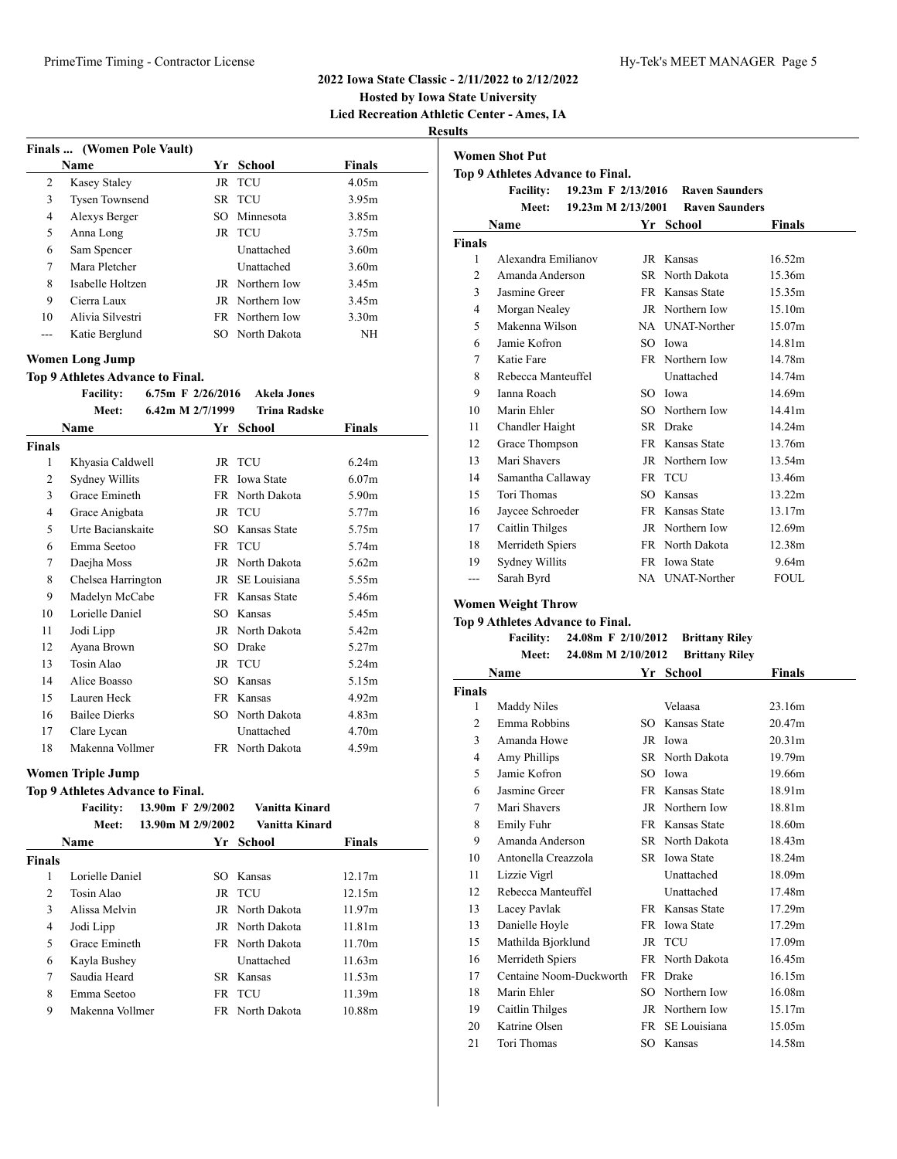### **Hosted by Iowa State University Lied Recreation Athletic Center - Ames, IA**

**Results**

| Finals  (Women Pole Vault) |  |                   |                                                                                                                                     |  |  |
|----------------------------|--|-------------------|-------------------------------------------------------------------------------------------------------------------------------------|--|--|
| <b>Name</b>                |  |                   | <b>Finals</b>                                                                                                                       |  |  |
| <b>Kasey Staley</b>        |  |                   | 4.05m                                                                                                                               |  |  |
| <b>Tysen Townsend</b>      |  |                   | 3.95m                                                                                                                               |  |  |
| Alexys Berger              |  |                   | 3.85m                                                                                                                               |  |  |
| Anna Long                  |  |                   | 3.75m                                                                                                                               |  |  |
| Sam Spencer                |  | <b>Unattached</b> | 3.60m                                                                                                                               |  |  |
| Mara Pletcher              |  | Unattached        | 3.60m                                                                                                                               |  |  |
| Isabelle Holtzen           |  |                   | 3.45m                                                                                                                               |  |  |
| Cierra Laux                |  |                   | 3.45m                                                                                                                               |  |  |
| Alivia Silvestri           |  |                   | 3.30 <sub>m</sub>                                                                                                                   |  |  |
| Katie Berglund             |  |                   | <b>NH</b>                                                                                                                           |  |  |
|                            |  |                   | Yr School<br>JR TCU<br>SR TCU<br>SO Minnesota<br>JR TCU<br>JR Northern Iow<br>JR Northern Iow<br>FR Northern Iow<br>SO North Dakota |  |  |

#### **Women Long Jump**

**Top 9 Athletes Advance to Final.**

|  | <b>Facility:</b> |  |  | 6.75m F $2/26/2016$ | Akela Jones |
|--|------------------|--|--|---------------------|-------------|
|--|------------------|--|--|---------------------|-------------|

|        | Meet:                | 6.42m M $2/7/1999$ | <b>Trina Radske</b> |                   |
|--------|----------------------|--------------------|---------------------|-------------------|
|        | Name                 |                    | Yr School           | Finals            |
| Finals |                      |                    |                     |                   |
| 1      | Khyasia Caldwell     |                    | JR TCU              | 6.24m             |
| 2      | Sydney Willits       |                    | FR Iowa State       | 6.07 <sub>m</sub> |
| 3      | Grace Emineth        |                    | FR North Dakota     | 5.90m             |
| 4      | Grace Anigbata       |                    | JR TCU              | 5.77m             |
| 5      | Urte Bacianskaite    | SO.                | Kansas State        | 5.75m             |
| 6      | Emma Seetoo          |                    | FR TCU              | 5.74m             |
| 7      | Daejha Moss          |                    | JR North Dakota     | 5.62m             |
| 8      | Chelsea Harrington   |                    | JR SE Louisiana     | 5.55m             |
| 9      | Madelyn McCabe       |                    | FR Kansas State     | 5.46m             |
| 10     | Lorielle Daniel      | SO.                | Kansas              | 5.45m             |
| 11     | Jodi Lipp            |                    | JR North Dakota     | 5.42 <sub>m</sub> |
| 12     | Ayana Brown          | SO.                | Drake               | 5.27m             |
| 13     | Tosin Alao           |                    | JR TCU              | 5.24m             |
| 14     | Alice Boasso         | SO.                | Kansas              | 5.15m             |
| 15     | Lauren Heck          |                    | FR Kansas           | 4.92m             |
| 16     | <b>Bailee Dierks</b> | SO.                | North Dakota        | 4.83 <sub>m</sub> |
| 17     | Clare Lycan          |                    | Unattached          | 4.70m             |
| 18     | Makenna Vollmer      |                    | FR North Dakota     | 4.59m             |

#### **Women Triple Jump**

#### **Top 9 Athletes Advance to Final.**

|               | <b>Facility:</b> | 13.90m F 2/9/2002 |     | Vanitta Kinard         |               |
|---------------|------------------|-------------------|-----|------------------------|---------------|
|               | Meet:            | 13.90m M 2/9/2002 |     | Vanitta Kinard         |               |
|               | Name             |                   | Yr. | School                 | <b>Finals</b> |
| <b>Finals</b> |                  |                   |     |                        |               |
| 1             | Lorielle Daniel  |                   |     | SO Kansas              | 12.17m        |
| 2             | Tosin Alao       |                   |     | JR TCU                 | 12.15m        |
| 3             | Alissa Melvin    |                   |     | JR North Dakota        | 11.97m        |
| 4             | Jodi Lipp        |                   |     | JR North Dakota        | 11.81m        |
| 5             | Grace Emineth    |                   |     | <b>FR</b> North Dakota | 11.70m        |
| 6             | Kayla Bushey     |                   |     | Unattached             | 11.63m        |
| 7             | Saudia Heard     |                   |     | SR Kansas              | 11.53m        |
| 8             | Emma Seetoo      |                   |     | FR TCU                 | 11.39m        |
| 9             | Makenna Vollmer  |                   |     | FR North Dakota        | 10.88m        |

| <b>Women Shot Put</b> |                                                      |                      |                       |             |  |
|-----------------------|------------------------------------------------------|----------------------|-----------------------|-------------|--|
|                       | Top 9 Athletes Advance to Final.<br><b>Facility:</b> | 19.23m F $2/13/2016$ | <b>Raven Saunders</b> |             |  |
|                       | Meet:                                                | 19.23m M 2/13/2001   | <b>Raven Saunders</b> |             |  |
|                       | Name                                                 | Yr                   | School                | Finals      |  |
| <b>Finals</b>         |                                                      |                      |                       |             |  |
| 1                     | Alexandra Emilianov                                  |                      | JR Kansas             | 16.52m      |  |
| 2                     | Amanda Anderson                                      |                      | SR North Dakota       | 15.36m      |  |
| 3                     | Jasmine Greer                                        |                      | FR Kansas State       | 15.35m      |  |
| 4                     | Morgan Nealey                                        |                      | JR Northern Iow       | 15.10m      |  |
| 5                     | Makenna Wilson                                       |                      | NA UNAT-Norther       | 15.07m      |  |
| 6                     | Jamie Kofron                                         |                      | SO Iowa               | 14.81m      |  |
| 7                     | Katie Fare                                           |                      | FR Northern Iow       | 14.78m      |  |
| 8                     | Rebecca Manteuffel                                   |                      | <b>Unattached</b>     | 14.74m      |  |
| 9                     | Ianna Roach                                          |                      | SO Iowa               | 14.69m      |  |
| 10                    | Marin Ehler                                          |                      | SO Northern Iow       | 14.41m      |  |
| 11                    | Chandler Haight                                      |                      | SR Drake              | 14.24m      |  |
| 12                    | Grace Thompson                                       |                      | FR Kansas State       | 13.76m      |  |
| 13                    | Mari Shavers                                         |                      | JR Northern Iow       | 13.54m      |  |
| 14                    | Samantha Callaway                                    |                      | FR TCU                | 13.46m      |  |
| 15                    | Tori Thomas                                          |                      | SO Kansas             | 13.22m      |  |
| 16                    | Jaycee Schroeder                                     |                      | FR Kansas State       | 13.17m      |  |
| 17                    | Caitlin Thilges                                      |                      | JR Northern Iow       | 12.69m      |  |
| 18                    | Merrideth Spiers                                     |                      | FR North Dakota       | 12.38m      |  |
| 19                    | Sydney Willits                                       |                      | FR Iowa State         | 9.64m       |  |
| ---                   | Sarah Byrd                                           |                      | NA UNAT-Norther       | <b>FOUL</b> |  |

#### **Women Weight Throw**

#### **Top 9 Athletes Advance to Final.**

**Facility: 24.08m F 2/10/2012 Brittany Riley Meet: 24.08m M 2/10/2012 Brittany Riley**

|                | Name                    | Yr  | School          | <b>Finals</b>      |
|----------------|-------------------------|-----|-----------------|--------------------|
| Finals         |                         |     |                 |                    |
| 1              | Maddy Niles             |     | Velaasa         | 23.16m             |
| $\overline{c}$ | Emma Robbins            | SO. | Kansas State    | 20.47m             |
| 3              | Amanda Howe             |     | JR Iowa         | 20.31 <sub>m</sub> |
| 4              | Amy Phillips            |     | SR North Dakota | 19.79m             |
| 5              | Jamie Kofron            | SO. | Iowa            | 19.66m             |
| 6              | Jasmine Greer           |     | FR Kansas State | 18.91 <sub>m</sub> |
| 7              | Mari Shavers            |     | JR Northern Iow | 18.81 <sub>m</sub> |
| 8              | Emily Fuhr              |     | FR Kansas State | 18.60m             |
| 9              | Amanda Anderson         |     | SR North Dakota | 18.43m             |
| 10             | Antonella Creazzola     |     | SR Iowa State   | 18.24m             |
| 11             | Lizzie Vigrl            |     | Unattached      | 18.09m             |
| 12             | Rebecca Manteuffel      |     | Unattached      | 17.48m             |
| 13             | Lacey Pavlak            |     | FR Kansas State | 17.29m             |
| 13             | Danielle Hoyle          |     | FR Iowa State   | 17.29m             |
| 15             | Mathilda Bjorklund      |     | JR TCU          | 17.09m             |
| 16             | Merrideth Spiers        |     | FR North Dakota | 16.45m             |
| 17             | Centaine Noom-Duckworth |     | FR Drake        | 16.15m             |
| 18             | Marin Ehler             | SO. | Northern Iow    | 16.08m             |
| 19             | Caitlin Thilges         |     | JR Northern Iow | 15.17m             |
| 20             | Katrine Olsen           | FR  | SE Louisiana    | 15.05m             |
| 21             | Tori Thomas             |     | SO Kansas       | 14.58m             |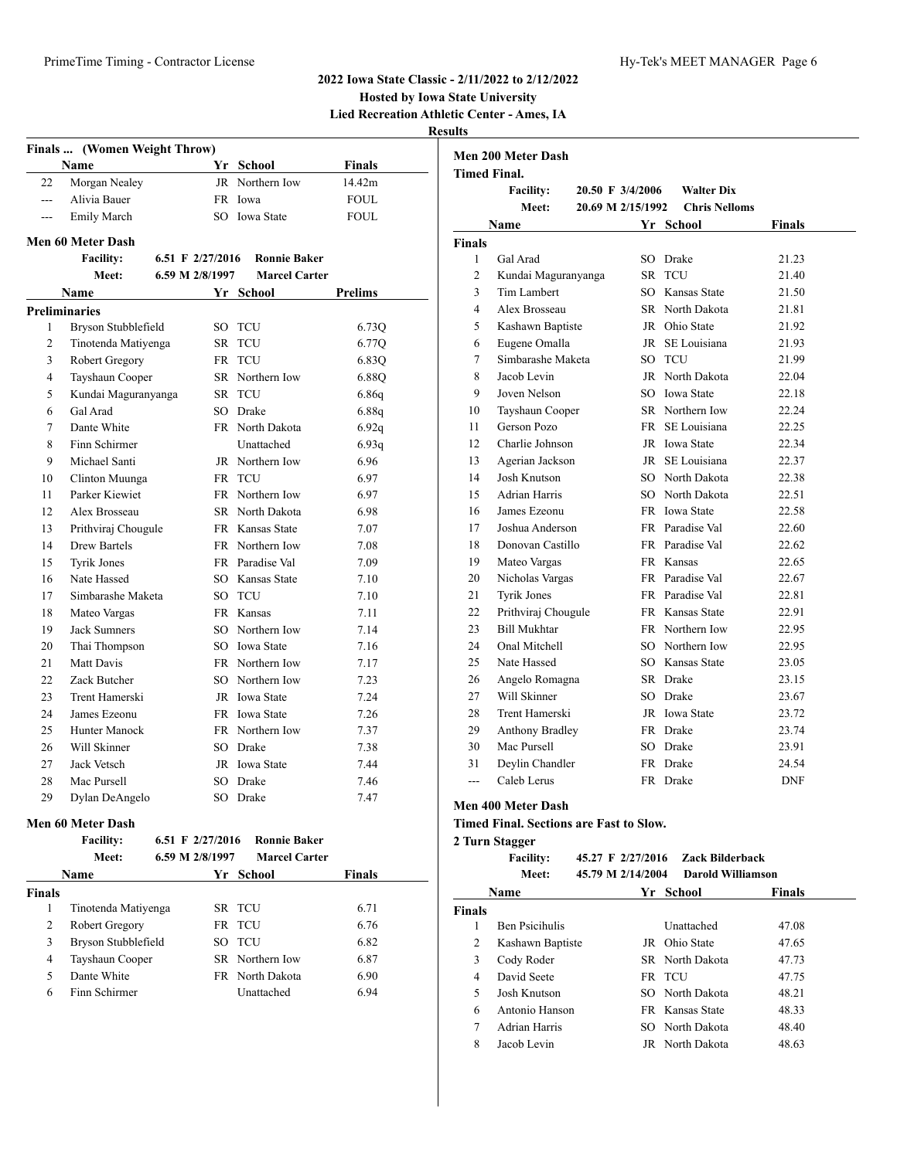**Hosted by Iowa State University**

**Lied Recreation Athletic Center - Ames, IA**

# **Results**

|                | Finals  (Women Weight Throw) |                  |                      |                |
|----------------|------------------------------|------------------|----------------------|----------------|
|                | <b>Name</b>                  |                  | Yr School            | Finals         |
| 22             | Morgan Nealey                |                  | JR Northern Iow      | 14.42m         |
| $- - -$        | Alivia Bauer                 |                  | FR Iowa              | <b>FOUL</b>    |
| ---            | <b>Emily March</b>           |                  | SO Iowa State        | <b>FOUL</b>    |
|                | Men 60 Meter Dash            |                  |                      |                |
|                | <b>Facility:</b>             | 6.51 F 2/27/2016 | <b>Ronnie Baker</b>  |                |
|                | Meet:                        | 6.59 M 2/8/1997  | <b>Marcel Carter</b> |                |
|                | <b>Name</b>                  |                  | Yr School            | <b>Prelims</b> |
|                | <b>Preliminaries</b>         |                  |                      |                |
| 1              | Bryson Stubblefield          | SO               | <b>TCU</b>           | 6.73Q          |
| 2              | Tinotenda Matiyenga          | SR               | TCU                  | 6.77Q          |
| 3              | Robert Gregory               | FR               | TCU                  | 6.83Q          |
| $\overline{4}$ | Tayshaun Cooper              |                  | SR Northern Iow      | 6.88Q          |
| 5              | Kundai Maguranyanga          |                  | SR TCU               | 6.86q          |
| 6              | Gal Arad                     |                  | SO Drake             | 6.88q          |
| 7              | Dante White                  |                  | FR North Dakota      | 6.92q          |
| 8              | Finn Schirmer                |                  | Unattached           | 6.93q          |
| 9              | Michael Santi                |                  | JR Northern Iow      | 6.96           |
| 10             | Clinton Muunga               |                  | FR TCU               | 6.97           |
| 11             | Parker Kiewiet               |                  | FR Northern Iow      | 6.97           |
| 12             | Alex Brosseau                |                  | SR North Dakota      | 6.98           |
| 13             | Prithviraj Chougule          |                  | FR Kansas State      | 7.07           |
| 14             | Drew Bartels                 |                  | FR Northern Iow      | 7.08           |
| 15             | <b>Tyrik Jones</b>           |                  | FR Paradise Val      | 7.09           |
| 16             | Nate Hassed                  |                  | SO Kansas State      | 7.10           |
| 17             | Simbarashe Maketa            |                  | SO TCU               | 7.10           |
| 18             | Mateo Vargas                 |                  | FR Kansas            | 7.11           |
| 19             | <b>Jack Sumners</b>          |                  | SO Northern Iow      | 7.14           |
| 20             | Thai Thompson                |                  | SO Iowa State        | 7.16           |
| 21             | Matt Davis                   |                  | FR Northern Iow      | 7.17           |
| 22             | Zack Butcher                 |                  | SO Northern Iow      | 7.23           |
| 23             | Trent Hamerski               |                  | JR Iowa State        | 7.24           |
| 24             | James Ezeonu                 |                  | FR Iowa State        | 7.26           |
| 25             | <b>Hunter Manock</b>         |                  | FR Northern Iow      | 7.37           |
| 26             | Will Skinner                 |                  | SO Drake             | 7.38           |
| 27             | Jack Vetsch                  |                  | JR Iowa State        | 7.44           |
| 28             | Mac Pursell                  |                  | SO Drake             | 7.46           |
| 29             | Dylan DeAngelo               | SO               | Drake                | 7.47           |
|                |                              |                  |                      |                |

#### **Men 60 Meter Dash**

|               | <b>Facility:</b><br>Meet: | 6.51 F $2/27/2016$<br>6.59 M 2/8/1997 | <b>Ronnie Baker</b><br><b>Marcel Carter</b> |               |
|---------------|---------------------------|---------------------------------------|---------------------------------------------|---------------|
|               | Name                      |                                       | Yr School                                   | <b>Finals</b> |
| <b>Finals</b> |                           |                                       |                                             |               |
| 1             | Tinotenda Matiyenga       |                                       | SR TCU                                      | 6.71          |
| 2             | Robert Gregory            |                                       | FR TCU                                      | 6.76          |
| 3             | Bryson Stubblefield       |                                       | SO TCU                                      | 6.82          |
| 4             | Tayshaun Cooper           |                                       | SR Northern Iow                             | 6.87          |
| 5             | Dante White               |                                       | FR North Dakota                             | 6.90          |
| 6             | Finn Schirmer             |                                       | Unattached                                  | 6.94          |

|                | <b>Men 200 Meter Dash</b> |                   |                      |            |
|----------------|---------------------------|-------------------|----------------------|------------|
|                | <b>Timed Final.</b>       |                   |                      |            |
|                | <b>Facility:</b>          | 20.50 F 3/4/2006  | <b>Walter Dix</b>    |            |
|                | Meet:                     | 20.69 M 2/15/1992 | <b>Chris Nelloms</b> |            |
|                | Name                      |                   | Yr School            | Finals     |
| <b>Finals</b>  |                           |                   |                      |            |
| $\mathbf{1}$   | Gal Arad                  |                   | SO Drake             | 21.23      |
| $\overline{c}$ | Kundai Maguranyanga       | SR -              | <b>TCU</b>           | 21.40      |
| 3              | <b>Tim Lambert</b>        |                   | SO Kansas State      | 21.50      |
| $\overline{4}$ | Alex Brosseau             |                   | SR North Dakota      | 21.81      |
| 5              | Kashawn Baptiste          |                   | JR Ohio State        | 21.92      |
| 6              | Eugene Omalla             |                   | JR SE Louisiana      | 21.93      |
| 7              | Simbarashe Maketa         |                   | SO TCU               | 21.99      |
| 8              | Jacob Levin               |                   | JR North Dakota      | 22.04      |
| 9              | Joven Nelson              |                   | SO Iowa State        | 22.18      |
| 10             | Tayshaun Cooper           |                   | SR Northern Iow      | 22.24      |
| 11             | Gerson Pozo               |                   | FR SE Louisiana      | 22.25      |
| 12             | Charlie Johnson           |                   | JR Iowa State        | 22.34      |
| 13             | Agerian Jackson           |                   | JR SE Louisiana      | 22.37      |
| 14             | Josh Knutson              |                   | SO North Dakota      | 22.38      |
| 15             | <b>Adrian Harris</b>      |                   | SO North Dakota      | 22.51      |
| 16             | James Ezeonu              |                   | FR Iowa State        | 22.58      |
| 17             | Joshua Anderson           |                   | FR Paradise Val      | 22.60      |
| 18             | Donovan Castillo          |                   | FR Paradise Val      | 22.62      |
| 19             | Mateo Vargas              |                   | FR Kansas            | 22.65      |
| 20             | Nicholas Vargas           |                   | FR Paradise Val      | 22.67      |
| 21             | Tyrik Jones               |                   | FR Paradise Val      | 22.81      |
| 22             | Prithviraj Chougule       |                   | FR Kansas State      | 22.91      |
| 23             | <b>Bill Mukhtar</b>       |                   | FR Northern Iow      | 22.95      |
| 24             | Onal Mitchell             |                   | SO Northern Iow      | 22.95      |
| 25             | Nate Hassed               |                   | SO Kansas State      | 23.05      |
| 26             | Angelo Romagna            |                   | SR Drake             | 23.15      |
| 27             | Will Skinner              |                   | SO Drake             | 23.67      |
| 28             | Trent Hamerski            |                   | JR Iowa State        | 23.72      |
| 29             | <b>Anthony Bradley</b>    |                   | FR Drake             | 23.74      |
| 30             | Mac Pursell               |                   | SO Drake             | 23.91      |
| 31             | Devlin Chandler           |                   | FR Drake             | 24.54      |
| $-$ --         | Caleb Lerus               |                   | FR Drake             | <b>DNF</b> |

## **Men 400 Meter Dash**

**Timed Final. Sections are Fast to Slow.**

#### **2 Turn Stagger**

|               | <b>Facility:</b>      | 45.27 F 2/27/2016 |    | Zack Bilderback          |               |  |
|---------------|-----------------------|-------------------|----|--------------------------|---------------|--|
|               | Meet:                 | 45.79 M 2/14/2004 |    | <b>Darold Williamson</b> |               |  |
|               | Name                  |                   | Yr | School                   | <b>Finals</b> |  |
| <b>Finals</b> |                       |                   |    |                          |               |  |
| 1             | <b>Ben Psicihulis</b> |                   |    | Unattached               | 47.08         |  |
| 2             | Kashawn Baptiste      |                   |    | JR Ohio State            | 47.65         |  |
| 3             | Cody Roder            |                   |    | <b>SR</b> North Dakota   | 47.73         |  |
| 4             | David Seete           |                   |    | FR TCU                   | 47.75         |  |
| 5             | Josh Knutson          |                   |    | SO North Dakota          | 48.21         |  |
| 6             | Antonio Hanson        |                   |    | FR Kansas State          | 48.33         |  |
| 7             | Adrian Harris         |                   |    | SO North Dakota          | 48.40         |  |
| 8             | Jacob Levin           |                   |    | JR North Dakota          | 48.63         |  |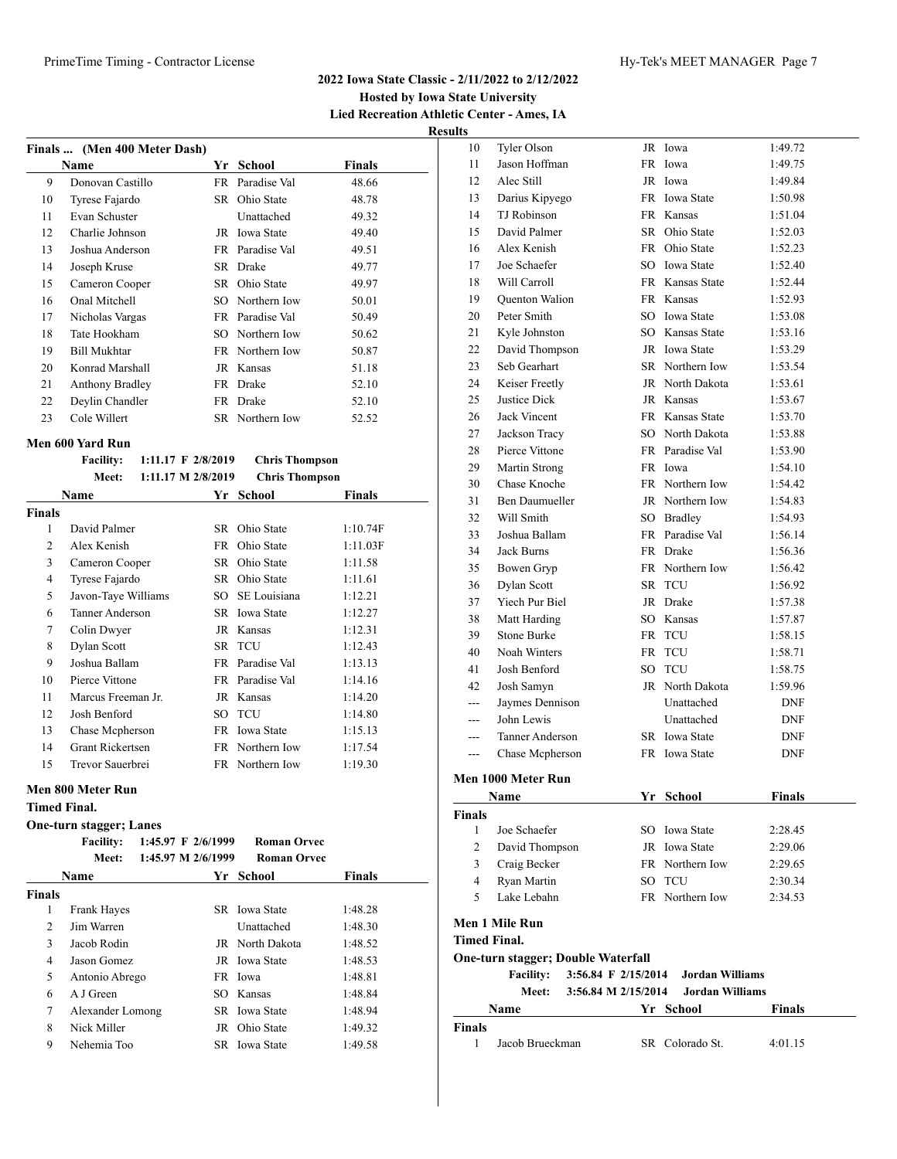#### **Hosted by Iowa State University Lied Recreation Athletic Center - Ames, IA Results**

|    | Finals  (Men 400 Meter Dash) |     |                   |        |  |  |
|----|------------------------------|-----|-------------------|--------|--|--|
|    | Name                         | Yr  | School            | Finals |  |  |
| 9  | Donovan Castillo             |     | FR Paradise Val   | 48.66  |  |  |
| 10 | Tyrese Fajardo               |     | SR Ohio State     | 48.78  |  |  |
| 11 | Evan Schuster                |     | Unattached        | 49.32  |  |  |
| 12 | Charlie Johnson              | JR  | <b>Iowa State</b> | 49.40  |  |  |
| 13 | Joshua Anderson              |     | FR Paradise Val   | 49.51  |  |  |
| 14 | Joseph Kruse                 |     | SR Drake          | 49.77  |  |  |
| 15 | Cameron Cooper               |     | SR Ohio State     | 49.97  |  |  |
| 16 | Onal Mitchell                |     | SO Northern Iow   | 50.01  |  |  |
| 17 | Nicholas Vargas              |     | FR Paradise Val   | 50.49  |  |  |
| 18 | Tate Hookham                 | SO. | Northern Iow      | 50.62  |  |  |
| 19 | Bill Mukhtar                 |     | FR Northern Iow   | 50.87  |  |  |
| 20 | Konrad Marshall              |     | JR Kansas         | 51.18  |  |  |
| 21 | Anthony Bradley              |     | FR Drake          | 52.10  |  |  |
| 22 | Deylin Chandler              | FR. | Drake             | 52.10  |  |  |
| 23 | Cole Willert                 |     | SR Northern Iow   | 52.52  |  |  |
|    |                              |     |                   |        |  |  |

# **Men 600 Yard Run**

|               | <b>Facility:</b>        | 1:11.17 F 2/8/2019            | <b>Chris Thompson</b> |          |
|---------------|-------------------------|-------------------------------|-----------------------|----------|
|               | Meet:                   | $1:11.17 \text{ M } 2/8/2019$ | <b>Chris Thompson</b> |          |
|               | Name                    |                               | Yr School             | Finals   |
| <b>Finals</b> |                         |                               |                       |          |
| 1             | David Palmer            | SR.                           | Ohio State            | 1:10.74F |
| 2             | Alex Kenish             | FR                            | Ohio State            | 1:11.03F |
| 3             | Cameron Cooper          |                               | SR Ohio State         | 1:11.58  |
| 4             | Tyrese Fajardo          |                               | SR Ohio State         | 1:11.61  |
| 5             | Javon-Taye Williams     | SO -                          | SE Louisiana          | 1:12.21  |
| 6             | Tanner Anderson         |                               | SR Iowa State         | 1:12.27  |
| 7             | Colin Dwyer             |                               | JR Kansas             | 1:12.31  |
| 8             | Dylan Scott             |                               | SR TCU                | 1:12.43  |
| 9             | Joshua Ballam           |                               | FR Paradise Val       | 1:13.13  |
| 10            | Pierce Vittone          |                               | FR Paradise Val       | 1:14.16  |
| 11            | Marcus Freeman Jr.      |                               | JR Kansas             | 1:14.20  |
| 12            | Josh Benford            | SO.                           | <b>TCU</b>            | 1:14.80  |
| 13            | Chase Mcpherson         |                               | FR Iowa State         | 1:15.13  |
| 14            | <b>Grant Rickertsen</b> |                               | FR Northern Iow       | 1:17.54  |
| 15            | Trevor Sauerbrei        |                               | FR Northern Iow       | 1:19.30  |
|               |                         |                               |                       |          |

### **Men 800 Meter Run**

#### **Timed Final.**

#### **One-turn stagger; Lanes**

|               | <b>Facility:</b> | 1:45.97 F 2/6/1999 | <b>Roman Orvec</b>   |               |
|---------------|------------------|--------------------|----------------------|---------------|
|               | Meet:            | 1:45.97 M 2/6/1999 | <b>Roman Orvec</b>   |               |
|               | <b>Name</b>      |                    | Yr School            | <b>Finals</b> |
| <b>Finals</b> |                  |                    |                      |               |
| 1             | Frank Hayes      |                    | SR Iowa State        | 1:48.28       |
| 2             | Jim Warren       |                    | Unattached           | 1:48.30       |
| 3             | Jacob Rodin      |                    | JR North Dakota      | 1:48.52       |
| 4             | Jason Gomez      |                    | <b>JR</b> Iowa State | 1:48.53       |
| 5             | Antonio Abrego   |                    | FR Iowa              | 1:48.81       |
| 6             | A J Green        |                    | SO Kansas            | 1:48.84       |
| 7             | Alexander Lomong |                    | SR Iowa State        | 1:48.94       |
| 8             | Nick Miller      |                    | JR Ohio State        | 1:49.32       |
| 9             | Nehemia Too      |                    | SR Iowa State        | 1:49.58       |

| uns            |                                           |  |                        |               |  |  |
|----------------|-------------------------------------------|--|------------------------|---------------|--|--|
| 10             | Tyler Olson                               |  | JR Iowa                | 1:49.72       |  |  |
| 11             | Jason Hoffman                             |  | FR Iowa                | 1:49.75       |  |  |
| 12             | Alec Still                                |  | JR Iowa                | 1:49.84       |  |  |
| 13             | Darius Kipyego                            |  | FR Iowa State          | 1:50.98       |  |  |
| 14             | <b>TJ</b> Robinson                        |  | FR Kansas              | 1:51.04       |  |  |
| 15             | David Palmer                              |  | SR Ohio State          | 1:52.03       |  |  |
| 16             | Alex Kenish                               |  | FR Ohio State          | 1:52.23       |  |  |
| 17             | Joe Schaefer                              |  | SO Iowa State          | 1:52.40       |  |  |
| 18             | Will Carroll                              |  | FR Kansas State        | 1:52.44       |  |  |
| 19             | <b>Quenton Walion</b>                     |  | FR Kansas              | 1:52.93       |  |  |
| 20             | Peter Smith                               |  | SO Iowa State          | 1:53.08       |  |  |
| 21             | Kyle Johnston                             |  | SO Kansas State        | 1:53.16       |  |  |
| 22             | David Thompson                            |  | JR Iowa State          | 1:53.29       |  |  |
| 23             | Seb Gearhart                              |  | SR Northern Iow        | 1:53.54       |  |  |
| 24             | Keiser Freetly                            |  | JR North Dakota        | 1:53.61       |  |  |
| 25             | Justice Dick                              |  | JR Kansas              | 1:53.67       |  |  |
| 26             | <b>Jack Vincent</b>                       |  | FR Kansas State        | 1:53.70       |  |  |
| 27             | Jackson Tracy                             |  | SO North Dakota        | 1:53.88       |  |  |
| 28             | Pierce Vittone                            |  | FR Paradise Val        | 1:53.90       |  |  |
| 29             | Martin Strong                             |  | FR Iowa                | 1:54.10       |  |  |
| 30             | Chase Knoche                              |  | FR Northern Iow        | 1:54.42       |  |  |
| 31             | <b>Ben Daumueller</b>                     |  | JR Northern Iow        | 1:54.83       |  |  |
| 32             | Will Smith                                |  | SO Bradley             | 1:54.93       |  |  |
| 33             | Joshua Ballam                             |  | FR Paradise Val        | 1:56.14       |  |  |
| 34             | Jack Burns                                |  | FR Drake               | 1:56.36       |  |  |
| 35             | Bowen Gryp                                |  | FR Northern Iow        | 1:56.42       |  |  |
| 36             | Dylan Scott                               |  | SR TCU                 | 1:56.92       |  |  |
| 37             | Yiech Pur Biel                            |  | JR Drake               | 1:57.38       |  |  |
| 38             | Matt Harding                              |  | SO Kansas              | 1:57.87       |  |  |
| 39             | <b>Stone Burke</b>                        |  | FR TCU                 | 1:58.15       |  |  |
| 40             | Noah Winters                              |  | FR TCU                 | 1:58.71       |  |  |
| 41             | Josh Benford                              |  | SO TCU                 | 1:58.75       |  |  |
| 42             | Josh Samyn                                |  | JR North Dakota        | 1:59.96       |  |  |
| $---$          | Jaymes Dennison                           |  | Unattached             | DNF           |  |  |
|                | John Lewis                                |  | Unattached             | <b>DNF</b>    |  |  |
|                | Tanner Anderson                           |  | SR Iowa State          | <b>DNF</b>    |  |  |
| ---            | Chase Mcpherson                           |  | FR Iowa State          | DNF           |  |  |
|                |                                           |  |                        |               |  |  |
|                | Men 1000 Meter Run                        |  |                        |               |  |  |
|                | Name                                      |  | Yr School              | <b>Finals</b> |  |  |
| <b>Finals</b>  |                                           |  |                        |               |  |  |
| 1              | Joe Schaefer                              |  | SO Iowa State          | 2:28.45       |  |  |
| $\overline{2}$ | David Thompson                            |  | JR Iowa State          | 2:29.06       |  |  |
| 3              | Craig Becker                              |  | FR Northern Iow        | 2:29.65       |  |  |
| 4              | Ryan Martin                               |  | SO TCU                 | 2:30.34       |  |  |
| 5              | Lake Lebahn                               |  | FR Northern Iow        | 2:34.53       |  |  |
|                | Men 1 Mile Run                            |  |                        |               |  |  |
|                | <b>Timed Final.</b>                       |  |                        |               |  |  |
|                | <b>One-turn stagger; Double Waterfall</b> |  |                        |               |  |  |
|                | 3:56.84 F 2/15/2014<br><b>Facility:</b>   |  | <b>Jordan Williams</b> |               |  |  |
|                | 3:56.84 M 2/15/2014<br><b>Meet:</b>       |  | <b>Jordan Williams</b> |               |  |  |
|                | Name                                      |  | Yr School              | <b>Finals</b> |  |  |
| <b>Finals</b>  |                                           |  |                        |               |  |  |
| $1 \quad$      | Jacob Brueckman                           |  | SR Colorado St.        | 4:01.15       |  |  |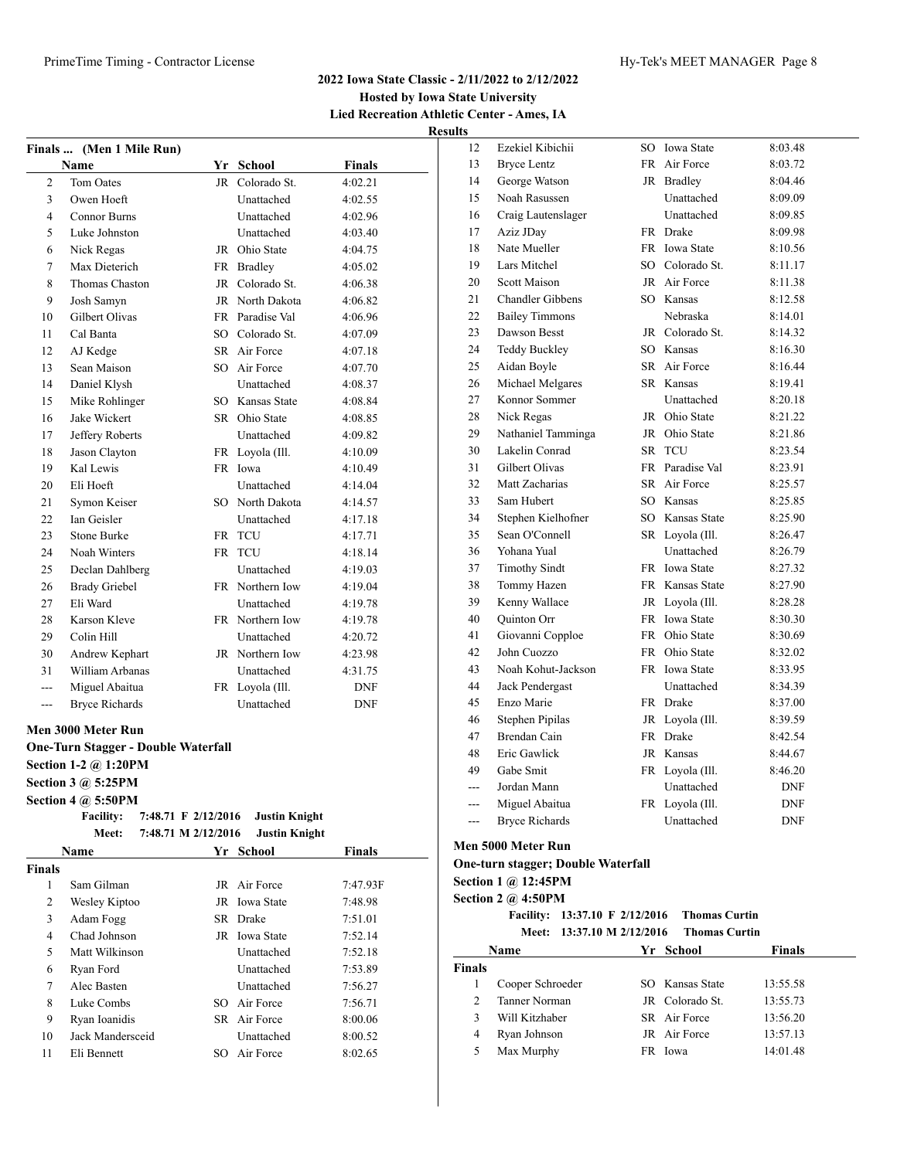### **Hosted by Iowa State University Lied Recreation Athletic Center - Ames, IA Results**

|                    | Finals  (Men 1 Mile Run)                                                                                       |                      |               |
|--------------------|----------------------------------------------------------------------------------------------------------------|----------------------|---------------|
|                    | <b>Name</b>                                                                                                    | Yr School            | Finals        |
| 2                  | Tom Oates                                                                                                      | JR Colorado St.      | 4:02.21       |
| 3                  | Owen Hoeft                                                                                                     | Unattached           | 4:02.55       |
| 4                  | Connor Burns                                                                                                   | Unattached           | 4:02.96       |
| 5                  | Luke Johnston                                                                                                  | Unattached           | 4:03.40       |
| 6                  | Nick Regas                                                                                                     | JR Ohio State        | 4:04.75       |
| 7                  | Max Dieterich                                                                                                  | FR Bradley           | 4:05.02       |
| 8                  | Thomas Chaston                                                                                                 | JR Colorado St.      | 4:06.38       |
| 9                  | Josh Samyn                                                                                                     | JR North Dakota      | 4:06.82       |
| 10                 | Gilbert Olivas                                                                                                 | FR Paradise Val      | 4:06.96       |
| 11                 | Cal Banta                                                                                                      | SO Colorado St.      | 4:07.09       |
| 12                 | AJ Kedge                                                                                                       | SR Air Force         | 4:07.18       |
| 13                 | Sean Maison                                                                                                    | SO Air Force         | 4:07.70       |
| 14                 | Daniel Klysh                                                                                                   | Unattached           | 4:08.37       |
| 15                 | Mike Rohlinger                                                                                                 | SO Kansas State      | 4:08.84       |
| 16                 | Jake Wickert                                                                                                   | SR Ohio State        | 4:08.85       |
| 17                 | Jeffery Roberts                                                                                                | Unattached           | 4:09.82       |
| 18                 | Jason Clayton                                                                                                  | FR Loyola (Ill.      | 4:10.09       |
| 19                 | Kal Lewis                                                                                                      | FR Iowa              | 4:10.49       |
| 20                 | Eli Hoeft                                                                                                      | Unattached           | 4:14.04       |
| 21                 | Symon Keiser                                                                                                   | SO North Dakota      | 4:14.57       |
| 22                 | Ian Geisler                                                                                                    | Unattached           | 4:17.18       |
| 23                 | Stone Burke                                                                                                    | FR TCU               | 4:17.71       |
| 24                 | Noah Winters                                                                                                   | FR TCU               | 4:18.14       |
| 25                 | Declan Dahlberg                                                                                                | Unattached           | 4:19.03       |
| 26                 | <b>Brady Griebel</b>                                                                                           | FR Northern Iow      | 4:19.04       |
| 27                 | Eli Ward                                                                                                       | Unattached           | 4:19.78       |
| 28                 | Karson Kleve                                                                                                   | FR Northern Iow      | 4:19.78       |
| 29                 | Colin Hill                                                                                                     | Unattached           | 4:20.72       |
| 30                 | Andrew Kephart                                                                                                 | JR Northern Iow      | 4:23.98       |
| 31                 | William Arbanas                                                                                                | Unattached           | 4:31.75       |
| $--$               | Miguel Abaitua                                                                                                 | FR Loyola (Ill.      | DNF           |
| ---                | <b>Bryce Richards</b>                                                                                          | Unattached           | <b>DNF</b>    |
|                    |                                                                                                                |                      |               |
|                    | Men 3000 Meter Run<br><b>One-Turn Stagger - Double Waterfall</b><br>Section 1-2 @ 1:20PM<br>Section 3 @ 5:25PM |                      |               |
|                    | <b>Section 4 @ 5:50PM</b>                                                                                      |                      |               |
|                    | <b>Facility:</b><br>7:48.71 F 2/12/2016                                                                        | <b>Justin Knight</b> |               |
|                    | Meet:<br>7:48.71 M 2/12/2016                                                                                   | <b>Justin Knight</b> |               |
|                    | Name                                                                                                           | Yr School            | <b>Finals</b> |
|                    |                                                                                                                |                      |               |
| <b>Finals</b><br>1 | Sam Gilman                                                                                                     | JR Air Force         | 7:47.93F      |
| 2                  | Wesley Kiptoo                                                                                                  | JR Iowa State        |               |
| 3                  | Adam Fogg                                                                                                      | SR Drake             | 7:48.98       |
|                    | Chad Johnson                                                                                                   |                      | 7:51.01       |
| 4                  |                                                                                                                | JR Iowa State        | 7:52.14       |
| 5                  | Matt Wilkinson                                                                                                 | Unattached           | 7:52.18       |
| 6                  | Ryan Ford                                                                                                      | Unattached           | 7:53.89       |
| $\tau$             | Alec Basten                                                                                                    | Unattached           | 7:56.27       |
| $\,$ 8 $\,$        | Luke Combs                                                                                                     | SO Air Force         | 7:56.71       |
| 9                  | Ryan Ioanidis                                                                                                  | SR Air Force         | 8:00.06       |
| 10                 | Jack Mandersceid                                                                                               | Unattached           | 8:00.52       |
| 11                 | Eli Bennett                                                                                                    | SO Air Force         | 8:02.65       |

| 12  | Ezekiel Kibichii        | SO        | <b>Iowa State</b> | 8:03.48    |
|-----|-------------------------|-----------|-------------------|------------|
| 13  | <b>Bryce Lentz</b>      | FR        | Air Force         | 8:03.72    |
| 14  | George Watson           | JR        | <b>Bradley</b>    | 8:04.46    |
| 15  | Noah Rasussen           |           | Unattached        | 8:09.09    |
| 16  | Craig Lautenslager      |           | Unattached        | 8:09.85    |
| 17  | Aziz JDay               | FR        | Drake             | 8:09.98    |
| 18  | Nate Mueller            | FR        | <b>Iowa State</b> | 8:10.56    |
| 19  | Lars Mitchel            |           | SO Colorado St.   | 8:11.17    |
| 20  | <b>Scott Maison</b>     | JR.       | Air Force         | 8:11.38    |
| 21  | <b>Chandler Gibbens</b> | SO        | Kansas            | 8:12.58    |
| 22  | <b>Bailey Timmons</b>   |           | Nebraska          | 8:14.01    |
| 23  | Dawson Besst            | JR        | Colorado St.      | 8:14.32    |
| 24  | <b>Teddy Buckley</b>    |           | SO Kansas         | 8:16.30    |
| 25  | Aidan Boyle             |           | SR Air Force      | 8:16.44    |
| 26  | Michael Melgares        |           | SR Kansas         | 8:19.41    |
| 27  | Konnor Sommer           |           | Unattached        | 8:20.18    |
| 28  | Nick Regas              | JR        | Ohio State        | 8:21.22    |
| 29  | Nathaniel Tamminga      |           | JR Ohio State     | 8:21.86    |
| 30  | Lakelin Conrad          | SR        | <b>TCU</b>        | 8:23.54    |
| 31  | Gilbert Olivas          | <b>FR</b> | Paradise Val      | 8:23.91    |
| 32  | Matt Zacharias          | SR.       | Air Force         | 8:25.57    |
| 33  | Sam Hubert              | SO        | Kansas            | 8:25.85    |
| 34  | Stephen Kielhofner      | SO.       | Kansas State      | 8:25.90    |
| 35  | Sean O'Connell          |           | SR Loyola (Ill.   | 8:26.47    |
| 36  | Yohana Yual             |           | Unattached        | 8:26.79    |
| 37  | <b>Timothy Sindt</b>    |           | FR Iowa State     | 8:27.32    |
| 38  | Tommy Hazen             |           | FR Kansas State   | 8:27.90    |
| 39  | Kenny Wallace           | JR        | Loyola (Ill.      | 8:28.28    |
| 40  | Quinton Orr             |           | FR Iowa State     | 8:30.30    |
| 41  | Giovanni Copploe        | FR        | Ohio State        | 8:30.69    |
| 42  | John Cuozzo             | FR        | Ohio State        | 8:32.02    |
| 43  | Noah Kohut-Jackson      | FR        | <b>Iowa State</b> | 8:33.95    |
| 44  | Jack Pendergast         |           | Unattached        | 8:34.39    |
| 45  | Enzo Marie              |           | FR Drake          | 8:37.00    |
| 46  | <b>Stephen Pipilas</b>  |           | JR Loyola (Ill.   | 8:39.59    |
| 47  | <b>Brendan Cain</b>     | <b>FR</b> | Drake             | 8:42.54    |
| 48  | Eric Gawlick            |           | JR Kansas         | 8:44.67    |
| 49  | Gabe Smit               | <b>FR</b> | Loyola (Ill.      | 8:46.20    |
| --- | Jordan Mann             |           | Unattached        | <b>DNF</b> |
| --- | Miguel Abaitua          | FR        | Loyola (Ill.      | DNF        |
| --- | <b>Bryce Richards</b>   |           | Unattached        | <b>DNF</b> |

#### **Men 5000 Meter Run**

#### **One-turn stagger; Double Waterfall**

**Section 1 @ 12:45PM**

**Section 2 @ 4:50PM**

**Facility: 13:37.10 F 2/12/2016 Thomas Curtin Meet: 13:37.10 M 2/12/2016 Thomas Curtin**

| <b>Name</b>    |                  |     | Yr School       | <b>Finals</b> |  |
|----------------|------------------|-----|-----------------|---------------|--|
| <b>Finals</b>  |                  |     |                 |               |  |
|                | Cooper Schroeder |     | SO Kansas State | 13:55.58      |  |
| $\mathfrak{D}$ | Tanner Norman    |     | JR Colorado St. | 13:55.73      |  |
|                | Will Kitzhaber   |     | SR Air Force    | 13:56.20      |  |
| 4              | Ryan Johnson     |     | JR Air Force    | 13:57.13      |  |
| 5              | Max Murphy       | FR. | Iowa            | 14:01.48      |  |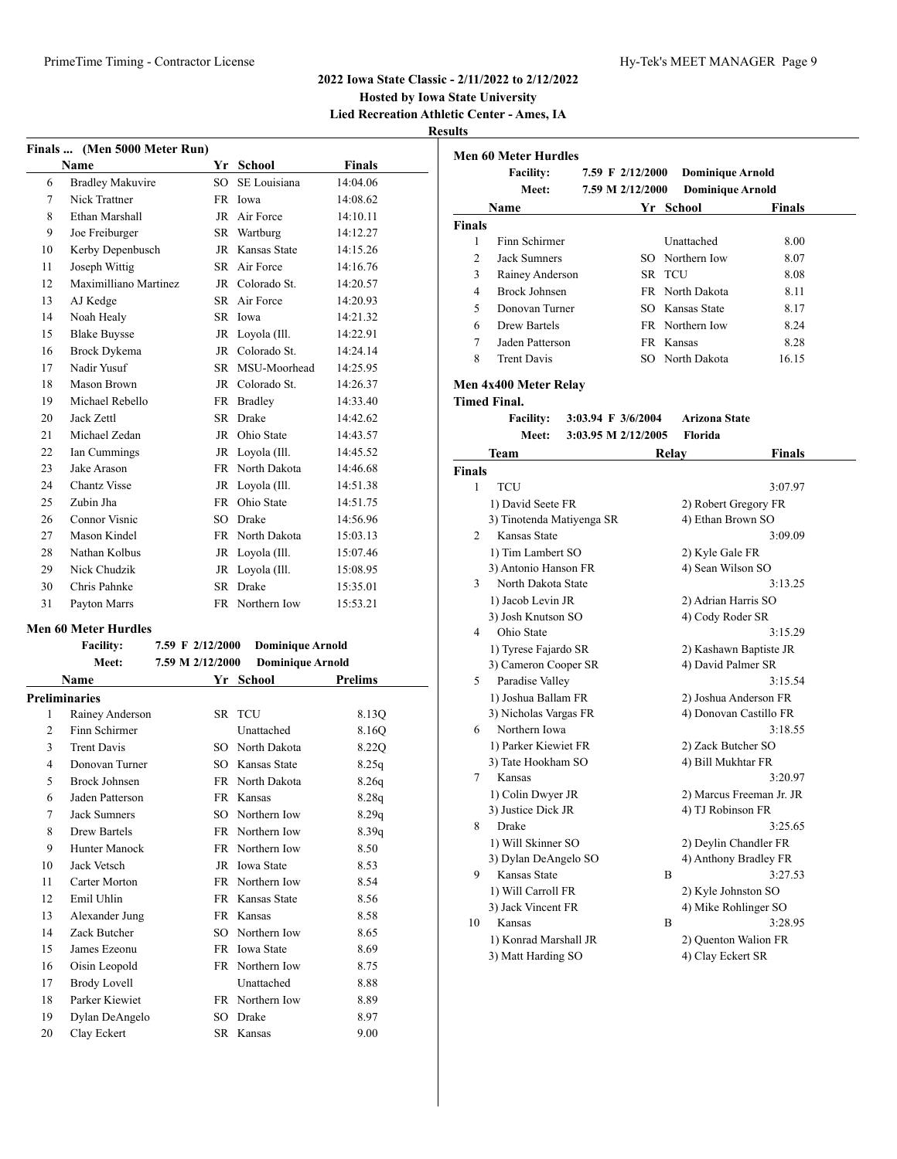**Hosted by Iowa State University**

**Lied Recreation Athletic Center - Ames, IA**

**Results**

| Finals  (Men 5000 Meter Run) |                         |           |                 |               |  |  |  |
|------------------------------|-------------------------|-----------|-----------------|---------------|--|--|--|
|                              | <b>Name</b>             |           | Yr School       | <b>Finals</b> |  |  |  |
| 6                            | <b>Bradley Makuvire</b> | SO.       | SE Louisiana    | 14:04.06      |  |  |  |
| 7                            | Nick Trattner           | FR        | Iowa            | 14:08.62      |  |  |  |
| 8                            | Ethan Marshall          | JR        | Air Force       | 14:10.11      |  |  |  |
| 9                            | Joe Freiburger          | SR        | Wartburg        | 14:12.27      |  |  |  |
| 10                           | Kerby Depenbusch        | JR        | Kansas State    | 14:15.26      |  |  |  |
| 11                           | Joseph Wittig           | SR.       | Air Force       | 14:16.76      |  |  |  |
| 12                           | Maximilliano Martinez   | JR.       | Colorado St.    | 14:20.57      |  |  |  |
| 13                           | AJ Kedge                |           | SR Air Force    | 14:20.93      |  |  |  |
| 14                           | Noah Healy              | SR        | Iowa            | 14:21.32      |  |  |  |
| 15                           | <b>Blake Buysse</b>     | JR        | Loyola (Ill.    | 14:22.91      |  |  |  |
| 16                           | <b>Brock Dykema</b>     |           | JR Colorado St. | 14:24.14      |  |  |  |
| 17                           | Nadir Yusuf             | SR.       | MSU-Moorhead    | 14:25.95      |  |  |  |
| 18                           | Mason Brown             | JR.       | Colorado St.    | 14:26.37      |  |  |  |
| 19                           | Michael Rebello         | FR        | <b>Bradley</b>  | 14:33.40      |  |  |  |
| 20                           | Jack Zettl              | SR.       | <b>Drake</b>    | 14:42.62      |  |  |  |
| 21                           | Michael Zedan           | JR.       | Ohio State      | 14:43.57      |  |  |  |
| 22                           | Ian Cummings            | <b>JR</b> | Loyola (Ill.    | 14:45.52      |  |  |  |
| 23                           | Jake Arason             | <b>FR</b> | North Dakota    | 14:46.68      |  |  |  |
| 24                           | <b>Chantz Visse</b>     | <b>JR</b> | Loyola (Ill.    | 14:51.38      |  |  |  |
| 25                           | Zubin Jha               | <b>FR</b> | Ohio State      | 14:51.75      |  |  |  |
| 26                           | Connor Visnic           | SO.       | Drake           | 14:56.96      |  |  |  |
| 27                           | Mason Kindel            | <b>FR</b> | North Dakota    | 15:03.13      |  |  |  |
| 28                           | Nathan Kolbus           | <b>JR</b> | Loyola (Ill.    | 15:07.46      |  |  |  |
| 29                           | Nick Chudzik            | <b>JR</b> | Loyola (Ill.    | 15:08.95      |  |  |  |
| 30                           | Chris Pahnke            | SR.       | <b>Drake</b>    | 15:35.01      |  |  |  |
| 31                           | Payton Marrs            | <b>FR</b> | Northern Iow    | 15:53.21      |  |  |  |
|                              |                         |           |                 |               |  |  |  |

#### **Men 60 Meter Hurdles**

|    | <b>Facility:</b>     | 7.59 F 2/12/2000 | <b>Dominique Arnold</b> |                |
|----|----------------------|------------------|-------------------------|----------------|
|    | Meet:                | 7.59 M 2/12/2000 | <b>Dominique Arnold</b> |                |
|    | Name                 |                  | Yr School               | <b>Prelims</b> |
|    | <b>Preliminaries</b> |                  |                         |                |
| 1  | Rainey Anderson      |                  | SR TCU                  | 8.13Q          |
| 2  | Finn Schirmer        |                  | Unattached              | 8.160          |
| 3  | <b>Trent Davis</b>   |                  | SO North Dakota         | 8.22Q          |
| 4  | Donovan Turner       |                  | SO Kansas State         | 8.25q          |
| 5  | Brock Johnsen        |                  | FR North Dakota         | 8.26q          |
| 6  | Jaden Patterson      |                  | FR Kansas               | 8.28q          |
| 7  | <b>Jack Sumners</b>  | SO.              | Northern Iow            | 8.29q          |
| 8  | Drew Bartels         |                  | FR Northern Iow         | 8.39q          |
| 9  | Hunter Manock        |                  | FR Northern Iow         | 8.50           |
| 10 | Jack Vetsch          |                  | JR Iowa State           | 8.53           |
| 11 | Carter Morton        |                  | FR Northern Iow         | 8.54           |
| 12 | Emil Uhlin           |                  | FR Kansas State         | 8.56           |
| 13 | Alexander Jung       |                  | FR Kansas               | 8.58           |
| 14 | Zack Butcher         | SO.              | Northern Iow            | 8.65           |
| 15 | James Ezeonu         |                  | FR Iowa State           | 8.69           |
| 16 | Oisin Leopold        | FR               | Northern Iow            | 8.75           |
| 17 | <b>Brody Lovell</b>  |                  | Unattached              | 8.88           |
| 18 | Parker Kiewiet       |                  | FR Northern Iow         | 8.89           |
| 19 | Dylan DeAngelo       | SO               | Drake                   | 8.97           |
| 20 | Clay Eckert          |                  | SR Kansas               | 9.00           |

|                | <b>Men 60 Meter Hurdles</b> |  |                     |                         |               |
|----------------|-----------------------------|--|---------------------|-------------------------|---------------|
|                | <b>Facility:</b>            |  | 7.59 F 2/12/2000    | <b>Dominique Arnold</b> |               |
|                | Meet:                       |  | 7.59 M 2/12/2000    | <b>Dominique Arnold</b> |               |
|                | Name                        |  |                     | Yr School               | Finals        |
| <b>Finals</b>  |                             |  |                     |                         |               |
| 1              | Finn Schirmer               |  |                     | Unattached              | 8.00          |
| $\overline{c}$ | <b>Jack Sumners</b>         |  |                     | SO Northern Iow         | 8.07          |
| 3              | Rainey Anderson             |  |                     | SR TCU                  | 8.08          |
| 4              | <b>Brock Johnsen</b>        |  |                     | FR North Dakota         | 8.11          |
| 5              | Donovan Turner              |  |                     | SO Kansas State         | 8.17          |
| 6              | <b>Drew Bartels</b>         |  |                     | FR Northern Iow         | 8.24          |
| 7              | Jaden Patterson             |  |                     | FR Kansas               | 8.28          |
| 8              | <b>Trent Davis</b>          |  |                     | SO North Dakota         | 16.15         |
|                | Men 4x400 Meter Relay       |  |                     |                         |               |
|                | <b>Timed Final.</b>         |  |                     |                         |               |
|                | <b>Facility:</b>            |  | 3:03.94 F 3/6/2004  | <b>Arizona State</b>    |               |
|                | <b>Meet:</b>                |  | 3:03.95 M 2/12/2005 | Florida                 |               |
|                | Team                        |  |                     | Relay                   | <b>Finals</b> |
| <b>Finals</b>  |                             |  |                     |                         |               |
| 1              | <b>TCU</b>                  |  |                     |                         | 3:07.97       |
|                | 1) David Seete FR           |  |                     | 2) Robert Gregory FR    |               |
|                | 3) Tinotenda Matiyenga SR   |  |                     | 4) Ethan Brown SO       |               |
| $\mathfrak{D}$ | Kansas State                |  |                     |                         | 3:09.09       |
|                | 1) Tim Lambert SO           |  |                     | 2) Kyle Gale FR         |               |
|                | 3) Antonio Hanson FR        |  |                     | 4) Sean Wilson SO       |               |
| 3              | North Dakota State          |  |                     |                         | 3:13.25       |
|                | 1) Jacob Levin JR           |  |                     | 2) Adrian Harris SO     |               |
|                | 3) Josh Knutson SO          |  |                     | 4) Cody Roder SR        |               |

4 Ohio State 3:15.29 1) Tyrese Fajardo SR 2) Kashawn Baptiste JR 3) Cameron Cooper SR 4) David Palmer SR 5 Paradise Valley 3:15.54 1) Joshua Ballam FR 2) Joshua Anderson FR 3) Nicholas Vargas FR 4) Donovan Castillo FR 6 Northern Iowa 3:18.55 1) Parker Kiewiet FR 2) Zack Butcher SO 3) Tate Hookham SO 4) Bill Mukhtar FR 7 Kansas 3:20.97 1) Colin Dwyer JR 2) Marcus Freeman Jr. JR 3) Justice Dick JR 4) TJ Robinson FR 8 Drake 3:25.65 1) Will Skinner SO 2) Deylin Chandler FR 3) Dylan DeAngelo SO 4) Anthony Bradley FR 9 Kansas State B 3:27.53 1) Will Carroll FR 2) Kyle Johnston SO 3) Jack Vincent FR 4) Mike Rohlinger SO 10 Kansas B 3:28.95 1) Konrad Marshall JR 2) Quenton Walion FR 3) Matt Harding SO 4) Clay Eckert SR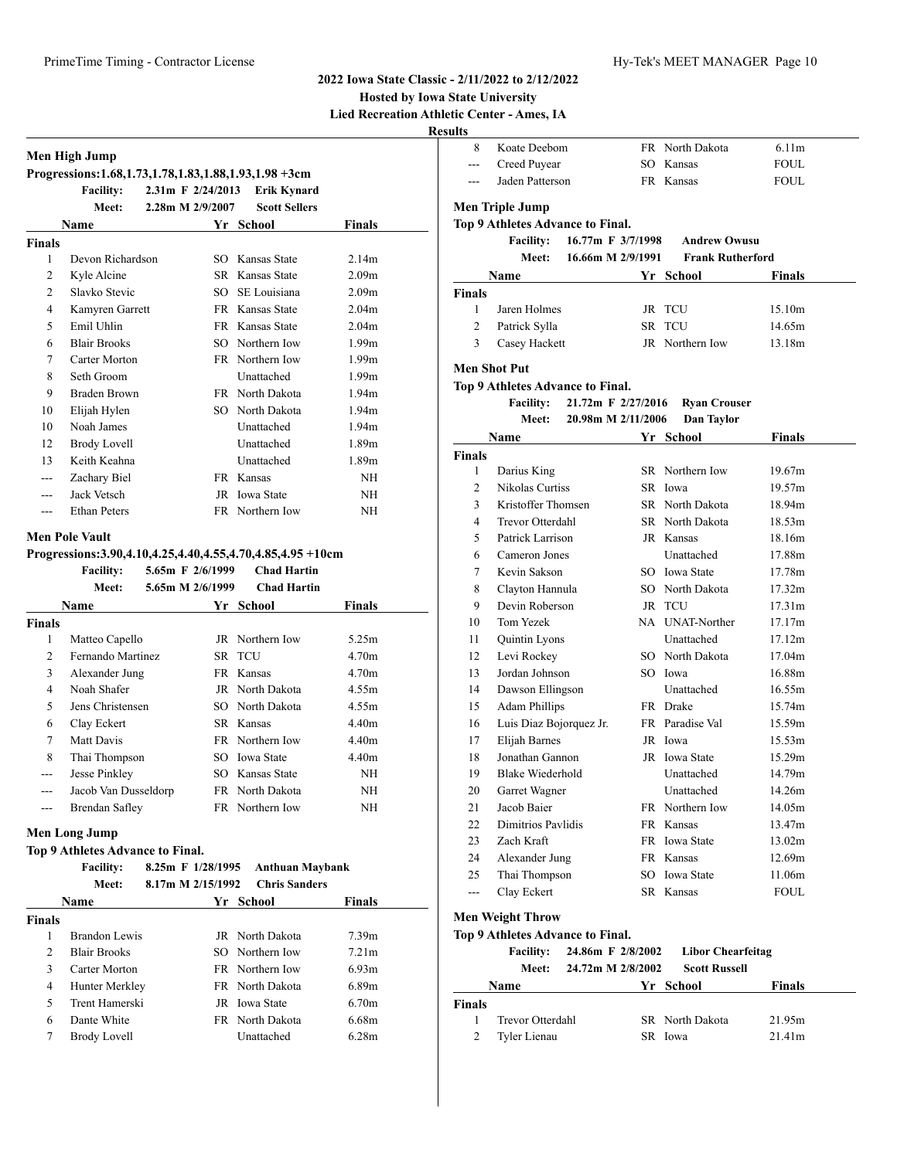#### **Hosted by Iowa State University Lied Recreation Athletic**

**Results**

|                         | Men High Jump<br>Progressions: 1.68, 1.73, 1.78, 1.83, 1.88, 1.93, 1.98 + 3cm |                                      |                                          |                                        |
|-------------------------|-------------------------------------------------------------------------------|--------------------------------------|------------------------------------------|----------------------------------------|
|                         | <b>Facility:</b>                                                              | 2.31m F 2/24/2013                    | <b>Erik Kynard</b>                       |                                        |
|                         | Meet:                                                                         | 2.28m M 2/9/2007                     | <b>Scott Sellers</b>                     |                                        |
|                         | Name                                                                          |                                      | Yr School                                | Finals                                 |
| <b>Finals</b>           |                                                                               |                                      |                                          |                                        |
| 1                       | Devon Richardson                                                              |                                      | SO Kansas State                          | 2.14m                                  |
| 2                       | Kyle Alcine                                                                   |                                      | SR Kansas State                          | 2.09 <sub>m</sub>                      |
| 2                       | Slavko Stevic                                                                 |                                      | SO SE Louisiana                          | 2.09 <sub>m</sub>                      |
| $\overline{4}$          | Kamyren Garrett                                                               |                                      | FR Kansas State                          | 2.04 <sub>m</sub>                      |
| 5                       | Emil Uhlin                                                                    |                                      | FR Kansas State                          | 2.04 <sub>m</sub>                      |
| 6                       | <b>Blair Brooks</b>                                                           |                                      | SO Northern Iow                          | 1.99 <sub>m</sub>                      |
| 7                       | Carter Morton                                                                 |                                      | FR Northern Iow                          | 1.99 <sub>m</sub>                      |
| 8                       | Seth Groom                                                                    |                                      | Unattached                               | 1.99 <sub>m</sub>                      |
| 9                       | Braden Brown                                                                  |                                      | FR North Dakota                          | 1.94 <sub>m</sub>                      |
| 10                      | Elijah Hylen                                                                  |                                      | SO North Dakota                          | 1.94 <sub>m</sub>                      |
| 10                      | Noah James                                                                    |                                      | Unattached                               | 1.94 <sub>m</sub>                      |
| 12                      | <b>Brody Lovell</b>                                                           |                                      | Unattached                               | 1.89 <sub>m</sub>                      |
| 13                      | Keith Keahna                                                                  |                                      | Unattached                               | 1.89 <sub>m</sub>                      |
| ---                     | Zachary Biel                                                                  |                                      | FR Kansas                                | NH                                     |
| $---$                   | Jack Vetsch                                                                   |                                      | JR Iowa State                            | NH                                     |
| $\overline{a}$          | <b>Ethan Peters</b>                                                           |                                      | FR Northern Iow                          | NH                                     |
|                         | <b>Facility:</b><br>Meet:                                                     | 5.65m F 2/6/1999<br>5.65m M 2/6/1999 | <b>Chad Hartin</b><br><b>Chad Hartin</b> |                                        |
|                         | Name                                                                          |                                      | Yr School                                | <b>Finals</b>                          |
| <b>Finals</b>           |                                                                               |                                      |                                          |                                        |
| 1                       | Matteo Capello                                                                |                                      | JR Northern Iow                          | 5.25m                                  |
| $\overline{c}$          | Fernando Martinez                                                             |                                      | SR TCU                                   | 4.70 <sub>m</sub>                      |
| 3                       | Alexander Jung                                                                |                                      | FR Kansas                                | 4.70 <sub>m</sub>                      |
| 4                       | Noah Shafer                                                                   |                                      | JR North Dakota                          | 4.55m                                  |
| 5                       | Jens Christensen                                                              |                                      | SO North Dakota                          | 4.55m                                  |
| 6                       | Clay Eckert                                                                   |                                      | SR Kansas                                | 4.40m                                  |
| 7                       | Matt Davis                                                                    |                                      | FR Northern Iow                          | 4.40m                                  |
| 8                       | Thai Thompson                                                                 |                                      | SO Iowa State                            | 4.40m                                  |
| ---                     | Jesse Pinkley                                                                 |                                      | SO Kansas State                          | <b>NH</b>                              |
|                         | Jacob Van Dusseldorp                                                          |                                      | FR North Dakota                          | $\rm{NH}$                              |
|                         |                                                                               |                                      | FR Northern Iow                          | ΝH                                     |
| ---                     | Brendan Safley                                                                |                                      |                                          |                                        |
|                         |                                                                               |                                      |                                          |                                        |
|                         | <b>Men Long Jump</b>                                                          |                                      |                                          |                                        |
|                         | Top 9 Athletes Advance to Final.                                              |                                      |                                          |                                        |
|                         | <b>Facility:</b>                                                              | 8.25m F 1/28/1995                    | <b>Anthuan Maybank</b>                   |                                        |
|                         | Meet:                                                                         | 8.17m M 2/15/1992                    | <b>Chris Sanders</b>                     |                                        |
|                         | Name                                                                          |                                      | Yr School                                | <b>Finals</b>                          |
|                         |                                                                               |                                      |                                          |                                        |
| <b>Finals</b><br>1<br>2 | <b>Brandon Lewis</b><br><b>Blair Brooks</b>                                   |                                      | JR North Dakota<br>SO Northern Iow       | 7.39 <sub>m</sub><br>7.21 <sub>m</sub> |

 Carter Morton FR Northern Iow 6.93m Hunter Merkley FR North Dakota 6.89m Trent Hamerski JR Iowa State 6.70m Dante White FR North Dakota 6.68m Brody Lovell Unattached 6.28m

|                | tic Center - Ames, IA                  |    |                         |               |
|----------------|----------------------------------------|----|-------------------------|---------------|
| ults           |                                        |    |                         |               |
| 8              | Koate Deebom                           |    | FR North Dakota         | 6.11m         |
| $---$          | Creed Puyear                           |    | SO Kansas               | FOUL          |
| $---$          | Jaden Patterson                        |    | FR Kansas               | FOUL          |
|                | <b>Men Triple Jump</b>                 |    |                         |               |
|                | Top 9 Athletes Advance to Final.       |    |                         |               |
|                | <b>Facility:</b><br>16.77m F 3/7/1998  |    | <b>Andrew Owusu</b>     |               |
|                | 16.66m M 2/9/1991<br><b>Meet:</b>      |    | <b>Frank Rutherford</b> |               |
|                | Name                                   |    | Yr School               | <b>Finals</b> |
| <b>Finals</b>  |                                        |    |                         |               |
| 1              | Jaren Holmes                           |    | JR TCU                  | 15.10m        |
| 2              | Patrick Sylla                          | SR | <b>TCU</b>              | 14.65m        |
| 3              | Casey Hackett                          |    | JR Northern Iow         | 13.18m        |
|                | <b>Men Shot Put</b>                    |    |                         |               |
|                | Top 9 Athletes Advance to Final.       |    |                         |               |
|                | <b>Facility:</b><br>21.72m F 2/27/2016 |    | <b>Ryan Crouser</b>     |               |
|                | 20.98m M 2/11/2006<br><b>Meet:</b>     |    | Dan Taylor              |               |
|                | Name                                   |    | Yr School               | <b>Finals</b> |
| Finals         |                                        |    |                         |               |
| 1              | Darius King                            |    | SR Northern Iow         | 19.67m        |
| 2              | Nikolas Curtiss                        |    | SR Iowa                 | 19.57m        |
| 3              | Kristoffer Thomsen                     |    | SR North Dakota         | 18.94m        |
| 4              | <b>Trevor Otterdahl</b>                |    | SR North Dakota         | 18.53m        |
| 5              | Patrick Larrison                       |    | JR Kansas               | 18.16m        |
| 6              | Cameron Jones                          |    | Unattached              | 17.88m        |
| 7              | Kevin Sakson                           |    | SO Iowa State           | 17.78m        |
| 8              | Clayton Hannula                        |    | SO North Dakota         | 17.32m        |
| 9              | Devin Roberson                         |    | JR TCU                  | 17.31m        |
| 10             | Tom Yezek                              |    | NA UNAT-Norther         | 17.17m        |
| 11             | Quintin Lyons                          |    | Unattached              | 17.12m        |
| 12             | Levi Rockey                            |    | SO North Dakota         | 17.04m        |
| 13             | Jordan Johnson                         |    | SO Iowa                 | 16.88m        |
| 14             | Dawson Ellingson                       |    | Unattached              | 16.55m        |
| 15             | <b>Adam Phillips</b>                   |    | FR Drake                | 15.74m        |
| 16             | Luis Diaz Bojorquez Jr.                |    | FR Paradise Val         | 15.59m        |
| 17             | Elijah Barnes                          |    | JR Iowa                 | 15.53m        |
| 18             | Jonathan Gannon                        |    | JR Iowa State           | 15.29m        |
| 19             | Blake Wiederhold                       |    | Unattached              | 14.79m        |
| 20             | Garret Wagner                          |    | Unattached              | 14.26m        |
| 21             | Jacob Baier                            |    | FR Northern Iow         | 14.05m        |
| 22             | Dimitrios Pavlidis                     |    | FR Kansas               | 13.47m        |
| 23             | Zach Kraft                             |    | FR Iowa State           | 13.02m        |
| 24             | Alexander Jung                         |    | FR Kansas               | 12.69m        |
| 25             | Thai Thompson                          |    | SO Iowa State           | 11.06m        |
| $\overline{a}$ | Clay Eckert                            |    | SR Kansas               | <b>FOUL</b>   |
|                | <b>Men Weight Throw</b>                |    |                         |               |
|                | Top 9 Athletes Advance to Final.       |    |                         |               |

|               | <b>Facility:</b> |                   | 24.86m F 2/8/2002 Libor Chearfeitag |               |  |
|---------------|------------------|-------------------|-------------------------------------|---------------|--|
|               | Meet:            | 24.72m M 2/8/2002 | <b>Scott Russell</b>                |               |  |
|               | Name             |                   | Yr School                           | <b>Finals</b> |  |
| <b>Finals</b> |                  |                   |                                     |               |  |
| 1             | Trevor Otterdahl |                   | SR North Dakota                     | 21.95m        |  |
| 2             | Tyler Lienau     |                   | SR Iowa                             | 21.41m        |  |